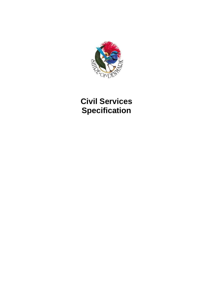

# **Civil Services Specification**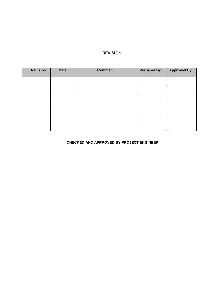#### **REVISION**

| <b>Revision</b> | <b>Date</b> | <b>Comment</b> | <b>Prepared By</b> | <b>Approved By</b> |
|-----------------|-------------|----------------|--------------------|--------------------|
|                 |             |                |                    |                    |
|                 |             |                |                    |                    |
|                 |             |                |                    |                    |
|                 |             |                |                    |                    |
|                 |             |                |                    |                    |
|                 |             |                |                    |                    |

### **CHECKED AND APPROVED BY PROJECT ENGINEER**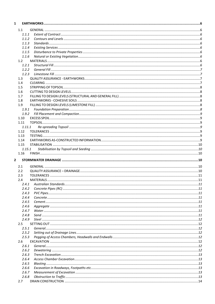| 1            |                |  |
|--------------|----------------|--|
|              | 1.1            |  |
|              | 1.1.1          |  |
|              | 1.1.2          |  |
|              | 1.1.3          |  |
|              | 1.1.4          |  |
|              | 1.1.5          |  |
|              | 1.1.6          |  |
|              | 1.2            |  |
|              | 1.2.1          |  |
|              | 1.2.2          |  |
|              | 1.2.3          |  |
|              | 1.3            |  |
|              | 1.4            |  |
|              | 1.5            |  |
|              | 1.6            |  |
|              | 1.7            |  |
|              | 1.8            |  |
|              | 1.9            |  |
|              | 1.9.1          |  |
|              | 1.9.2          |  |
|              | 1.10           |  |
|              | 1.11           |  |
|              | 1.11.1         |  |
|              | 1.12           |  |
|              | 1.13           |  |
|              | 1.14           |  |
|              | 1.15           |  |
|              | 1.15.1         |  |
|              | 1.16           |  |
| $\mathbf{2}$ |                |  |
|              |                |  |
|              | 2.1            |  |
|              | 2.2            |  |
|              | 2.3            |  |
|              | 2.4            |  |
|              | 2.4.1          |  |
|              | 2.4.2          |  |
|              | 2.4.3<br>2.4.4 |  |
|              |                |  |
|              | 2.4.5<br>2.4.6 |  |
|              | 2.4.7          |  |
|              |                |  |
|              | 2.4.8<br>2.4.9 |  |
|              |                |  |
|              | 2.5<br>2.5.1   |  |
|              | 2.5.2          |  |
|              | 2.5.3          |  |
|              | 2.6            |  |
|              | 2.6.1          |  |
|              | 2.6.2          |  |
|              | 2.6.3          |  |
|              | 2.6.4          |  |
|              | 2.6.5          |  |
|              | 2.6.6          |  |
|              | 2.6.7          |  |
|              | 2.6.8          |  |
|              | 2.7            |  |
|              |                |  |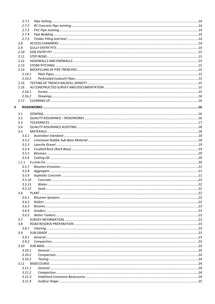|   | 2.7.1  |  |
|---|--------|--|
|   | 2.7.2  |  |
|   | 2.7.3  |  |
|   | 2.7.4  |  |
|   | 2.7.5  |  |
|   | 2.8    |  |
|   | 2.9    |  |
|   | 2.10   |  |
|   | 2.11   |  |
|   | 2.12   |  |
|   | 2.13   |  |
|   |        |  |
|   | 2.14   |  |
|   | 2.14.1 |  |
|   | 2.14.2 |  |
|   | 2.15   |  |
|   | 2.16   |  |
|   | 2.16.1 |  |
|   | 2.16.2 |  |
|   | 2.17   |  |
| 3 |        |  |
|   |        |  |
|   | 3.1    |  |
|   | 3.2    |  |
|   | 3.3    |  |
|   | 3.4    |  |
|   | 3.5    |  |
|   | 3.5.1  |  |
|   | 3.5.2  |  |
|   | 3.5.3  |  |
|   |        |  |
|   | 3.5.4  |  |
|   | 3.5.5  |  |
|   | 3.5.6  |  |
|   | 1.1.1  |  |
|   | 3.5.7  |  |
|   | 3.5.8  |  |
|   | 3.5.9  |  |
|   | 3.5.10 |  |
|   | 3.5.11 |  |
|   | 3.5.12 |  |
|   | 3.6    |  |
|   | 3.6.1  |  |
|   | 3.6.2  |  |
|   | 3.6.3  |  |
|   | 3.6.4  |  |
|   | 3.6.5  |  |
|   | 3.7    |  |
|   | 3.8    |  |
|   |        |  |
|   | 3.8.1  |  |
|   | 3.9    |  |
|   | 3.9.1  |  |
|   | 3.9.2  |  |
|   | 3.10   |  |
|   | 3.10.1 |  |
|   | 3.10.2 |  |
|   | 3.10.3 |  |
|   | 3.11   |  |
|   | 3.11.1 |  |
|   | 3.11.2 |  |
|   | 3.11.3 |  |
|   | 3.11.4 |  |
|   |        |  |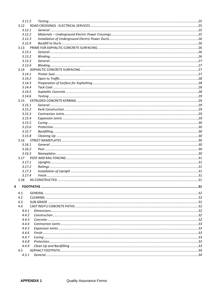|   | 3.11.5 |  |
|---|--------|--|
|   | 3.12   |  |
|   | 3.12.1 |  |
|   | 3.12.2 |  |
|   | 3.12.3 |  |
|   | 3.12.4 |  |
|   | 3.13   |  |
|   | 3.13.1 |  |
|   | 3.13.2 |  |
|   | 3.13.3 |  |
|   | 3.13.4 |  |
|   | 3.14   |  |
|   | 3.14.1 |  |
|   | 3.14.2 |  |
|   | 3.14.3 |  |
|   | 3.14.4 |  |
|   | 3.14.5 |  |
|   | 3.14.6 |  |
|   | 3.15   |  |
|   | 3.15.1 |  |
|   | 3.15.2 |  |
|   | 3.15.3 |  |
|   | 3.15.4 |  |
|   | 3.15.5 |  |
|   | 3.15.6 |  |
|   | 3.15.7 |  |
|   | 3.15.8 |  |
|   | 3.16   |  |
|   | 3.16.1 |  |
|   | 3.16.2 |  |
|   | 3.16.3 |  |
|   | 3.17   |  |
|   | 3.17.1 |  |
|   | 3.17.2 |  |
|   | 3.17.3 |  |
|   | 3.17.4 |  |
|   | 3.18   |  |
|   |        |  |
| 4 |        |  |
|   | 4.1    |  |
|   | 4.2    |  |
|   | 4.3    |  |
|   | 4.4    |  |
|   | 4.4.1  |  |
|   | 4.4.2  |  |
|   | 4.4.3  |  |
|   | 4.4.4  |  |
|   | 4.4.5  |  |
|   | 4.4.6  |  |
|   | 4.4.7  |  |
|   | 4.4.8  |  |
|   | 4.4.9  |  |
|   | 4.5    |  |
|   | 4.5.1  |  |
|   |        |  |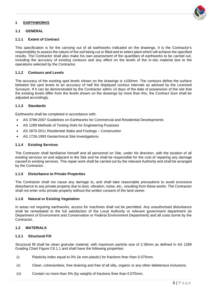#### <span id="page-5-0"></span>**1 EARTHWORKS**

#### <span id="page-5-1"></span>**1.1 GENERAL**

#### <span id="page-5-2"></span>**1.1.1 Extent of Contract**

This specification is for the carrying out of all earthworks indicated on the drawings. It is the Contractor's responsibility to assess the nature of the soil being cut or filled and to select plant which will achieve the specified results. The Contractor shall also make his own assessment of the quantities of earthworks to be carried out, including the accuracy of existing contours and any effect on the levels of the in-situ material due to the operations selected by the Contractor.

#### <span id="page-5-3"></span>**1.1.2 Contours and Levels**

The accuracy of the existing spot levels shown on the drawings is ±100mm. The contours define the surface between the spot levels to an accuracy of half the displayed contour intervals as advised by the Licensed Surveyor. If it can be demonstrated by the Contractor within 14 days of the date of possession of the site that the existing levels differ from the levels shown on the drawings by more than this, the Contract Sum shall be adjusted accordingly.

#### <span id="page-5-4"></span>**1.1.3 Standards**

Earthworks shall be completed in accordance with:

- AS 3798-2007 Guidelines on Earthworks for Commercial and Residential Developments
- AS 1289 Methods of Testing Soils for Engineering Purposes
- AS 2870-2011 Residential Slabs and Footings Construction
- AS 1726-1993 Geotechnical Site Investigations.

#### <span id="page-5-5"></span>**1.1.4 Existing Services**

The Contractor shall familiarise himself and all personnel on Site, under his direction, with the location of all existing services on and adjacent to the Site and he shall be responsible for the cost of repairing any damage caused to existing services. This repair work shall be carried out by the relevant Authority and shall be arranged by the Contractor.

#### <span id="page-5-6"></span>**1.1.5 Disturbance to Private Properties**

The Contractor shall not cause any damage to, and shall take reasonable precautions to avoid excessive disturbance to any private property due to dust, vibration, noise, etc., resulting from these works. The Contractor shall not enter onto private property without the written consent of the land owner.

#### <span id="page-5-7"></span>**1.1.6 Natural or Existing Vegetation**

In areas not requiring earthworks, access for machines shall not be permitted. Any unauthorised disturbance shall be remediated to the full satisfaction of the Local Authority or relevant government department (ie Department of Environment and Conservation or Federal Environment Department) and all costs borne by the Contractor.

#### <span id="page-5-8"></span>**1.2 MATERIALS**

#### <span id="page-5-9"></span>**1.2.1 Structural Fill**

Structural fill shall be clean granular material, with maximum particle size of 2.36mm as defined in AS 1289 Grading Chart Figure C6.1.1 and shall have the following properties:

- (i) Plasticity index equal to 0% (ie non-plastic) for fractions finer than 0.075mm.
- (ii) Clean, cohesionless, free draining and free of all silty, organic or any other deleterious inclusions.
- (iii) Contain no more than 5% (by weight) of fractions finer than 0.075mm.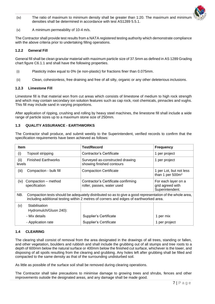

- (iv) The ratio of maximum to minimum density shall be greater than 1:20. The maximum and minimum densities shall be determined in accordance with test AS1289 5.5.1.
- (v) A minimum permeability of 10-4 m/s.

The Contractor shall provide test results from a NATA registered testing authority which demonstrate compliance with the above criteria prior to undertaking filling operations.

#### <span id="page-6-0"></span>**1.2.2 General Fill**

General fill shall be clean granular material with maximum particle size of 37.5mm as defined in AS 1289 Grading chart figure C6.1.1 and shall have the following properties.

- (i) Plasticity index equal to 0% (ie non-plastic) for fractions finer than 0.075mm.
- (ii) Clean, cohesionless, free draining and free of all silty, organic or any other deleterious inclusions.

#### <span id="page-6-1"></span>**1.2.3 Limestone Fill**

Limestone fill is that material won from cut areas which consists of limestone of medium to high rock strength and which may contain secondary ion solution features such as cap rock, root chemicals, pinnacles and vughs. This fill may include sand in varying proportions.

After application of ripping, crushing and rolling by heavy steel machines, the limestone fill shall include a wide range of particle sizes up to a maximum stone size of 250mm.

#### <span id="page-6-2"></span>**1.3 QUALITY ASSURANCE - EARTHWORKS**

The Contractor shall produce, and submit weekly to the Superintendent, verified records to confirm that the specification requirements have been achieved as follows:

| <b>Item</b>                                  |                                                                                                                                                                                                    | <b>Test/Record</b>                                                | <b>Frequency</b>                                           |
|----------------------------------------------|----------------------------------------------------------------------------------------------------------------------------------------------------------------------------------------------------|-------------------------------------------------------------------|------------------------------------------------------------|
| (i)                                          | Topsoil stripping                                                                                                                                                                                  | Contractor's Certificate                                          | 1 per project                                              |
| (ii)<br><b>Finished Earthworks</b><br>levels |                                                                                                                                                                                                    | Surveyed as-constructed drawing<br>showing finished contours      | 1 per project                                              |
| (iii)                                        | Compaction - bulk fill                                                                                                                                                                             | <b>Compaction Certificate</b>                                     | 1 per Lot, but not less<br>than 1 per 500m <sup>2</sup>    |
| (iv)                                         | Compaction - method<br>specification                                                                                                                                                               | Contractor's Certificate confirming<br>roller, passes, water used | For each layer on a<br>grid agreed with<br>Superintendent. |
| NB.                                          | Compaction tests should be adequately distributed so as to give a good representation of the whole area,<br>including additional testing within 2 metres of corners and edges of earthworked area. |                                                                   |                                                            |
| (v)                                          | Stabilisation<br>Hydromulch/Gluon 240):                                                                                                                                                            |                                                                   |                                                            |
|                                              | - Mix details                                                                                                                                                                                      | Supplier's Certificate                                            | 1 per mix                                                  |
|                                              | - Application rate                                                                                                                                                                                 | Supplier's Certificate                                            | 1 per project                                              |

#### <span id="page-6-3"></span>**1.4 CLEARING**

The clearing shall consist of removal from the area designated in the drawings of all trees, standing or fallen, and other vegetation, boulders and rubbish and shall include the grubbing out of all stumps and tree roots to a depth of 600mm below the natural surface or 400mm below the finished cut surface, whichever is the lower, and disposing of all spoils resulting from the clearing and grubbing. Any holes left after grubbing shall be filled and compacted to the same density as that of the surrounding undisturbed soil.

As little as possible of the surface soil shall be removed during clearing operations.

The Contractor shall take precautions to minimise damage to growing trees and shrubs, fences and other improvements outside the designated areas, and any damage shall be made good.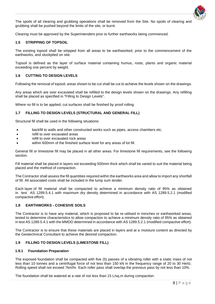

The spoils of all clearing and grubbing operations shall be removed from the Site. No spoils of clearing and grubbing shall be pushed beyond the limits of the site, or burnt.

Clearing must be approved by the Superintendent prior to further earthworks being commenced.

#### <span id="page-7-0"></span>**1.5 STRIPPING OF TOPSOIL**

The existing topsoil shall be stripped from all areas to be earthworked, prior to the commencement of the earthworks, and stockpiled on site.

Topsoil is defined as the layer of surface material containing humus, roots, plants and organic material exceeding one percent by weight.

#### <span id="page-7-1"></span>**1.6 CUTTING TO DESIGN LEVELS**

Following the removal of topsoil, areas shown to be cut shall be cut to achieve the levels shown on the drawings.

Any areas which are over excavated shall be refilled to the design levels shown on the drawings. Any refilling shall be placed as specified in "Filling to Design Levels".

Where no fill is to be applied, cut surfaces shall be finished by proof rolling.

#### <span id="page-7-2"></span>**1.7 FILLING TO DESIGN LEVELS (STRUCTURAL AND GENERAL FILL)**

Structural fill shall be used in the following situations:

- backfill to walls and other constructed works such as pipes, access chambers etc.
- refill to over excavated areas
- refill to over excavated rock areas
- within 600mm of the finished surface level for any areas of lot fill.

General fill or limestone fill may be placed in all other areas. For limestone fill requirements, see the following section.

Fill material shall be placed in layers not exceeding 500mm thick which shall be varied to suit the material being placed and the method of compaction.

The Contractor shall assess the fill quantities required within the earthworks area and allow to import any shortfall of fill. All associated costs shall be included in the lump sum tender.

Each layer of fill material shall be compacted to achieve a minimum density ratio of 95% as obtained in test AS 1289.5.4.1 with maximum dry density determined in accordance with AS 1289.5.2.1 (modified compactive effort).

#### <span id="page-7-3"></span>**1.8 EARTHWORKS - COHESIVE SOILS**

The Contractor is to have any material, which is proposed to be re-utilised in trenches or earthworked areas, tested to determine characteristics to allow compaction to achieve a minimum density ratio of 95% as obtained in test AS 1289.5.4.1 with the MMDD determined in accordance with AS 1289.5.2.1 (modified compactive effort).

The Contractor is to ensure that these materials are placed in layers and at a moisture content as directed by the Geotechnical Consultant to achieve the desired compaction.

#### <span id="page-7-4"></span>**1.9 FILLING TO DESIGN LEVELS (LIMESTONE FILL)**

#### <span id="page-7-5"></span>**1.9.1 Foundation Preparation**

The exposed foundation shall be compacted with five (5) passes of a vibrating roller with a static mass of not less than 10 tonnes and a centrifugal force of not less than 150 kN in the frequency range of 20 to 30 Hertz. Rolling speed shall not exceed 7km/hr. Each roller pass shall overlap the previous pass by not less than 10%.

The foundation shall be watered at a rate of not less than 15 L/sq.m during compaction.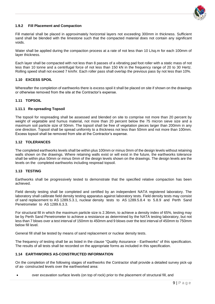

#### <span id="page-8-0"></span>**1.9.2 Fill Placement and Compaction**

Fill material shall be placed in approximately horizontal layers not exceeding 300mm in thickness. Sufficient sand shall be blended with the limestone such that the compacted material does not contain any significant voids.

Water shall be applied during the compaction process at a rate of not less than 10 L/sq.m for each 100mm of layer thickness.

Each layer shall be compacted with not less than 8 passes of a vibrating pad foot roller with a static mass of not less than 10 tonne and a centrifugal force of not less than 150 kN in the frequency range of 20 to 30 Hertz. Rolling speed shall not exceed 7 km/hr. Each roller pass shall overlap the previous pass by not less than 10%.

#### <span id="page-8-1"></span>**1.10 EXCESS SPOIL**

Whereafter the completion of earthworks there is excess spoil it shall be placed on site if shown on the drawings or otherwise removed from the site at the Contractor's expense.

#### <span id="page-8-2"></span>**1.11 TOPSOIL**

#### <span id="page-8-3"></span>**1.11.1 Re-spreading Topsoil**

The topsoil for respreading shall be assessed and blended on site to comprise not more than 20 percent by weight of vegetable and humus material, not more than 20 percent below the 75 micron sieve size and a maximum soil particle size of 50mm. The topsoil shall be free of vegetation pieces larger than 200mm in any one direction. Topsoil shall be spread uniformly to a thickness not less than 50mm and not more than 100mm. Excess topsoil shall be removed from site at the Contractor's expense.

#### <span id="page-8-4"></span>**1.12 TOLERANCES**

The completed earthworks levels shall be within plus 100mm or minus 0mm of the design levels without retaining walls shown on the drawings. Where retaining walls exist or will exist in the future, the earthworks tolerance shall be within plus 50mm or minus 0mm of the design levels shown on the drawings. The design levels are the levels on the completed earthworks including respread topsoil.

#### <span id="page-8-5"></span>**1.13 TESTING**

Earthworks shall be progressively tested to demonstrate that the specified relative compaction has been achieved.

Field density testing shall be completed and certified by an independent NATA registered laboratory. The laboratory shall calibrate field density testing apparatus against laboratory tests. Field density tests may consist of sand replacement to AS 1289.5.3.1, nuclear density tests to AS 1289.5.8.4 to 5.8.9 and Perth Sand Penetrometer to AS 1289.6.3.3.

For structural fill in which the maximum particle size is 2.36mm, to achieve a density index of 65%, testing may be by Perth Sand Penetrometer to achieve a resistance as determined by the NATA testing laboratory, but not less than 7 blows over a test interval of 150mm to 450mm and 9 blows over the test interval of 450mm to 750mm below fill level.

General fill shall be tested by means of sand replacement or nuclear density tests.

The frequency of testing shall be as listed in the clause "Quality Assurance - Earthworks" of this specification. The results of all tests shall be recorded on the appropriate forms as included in this specification.

#### <span id="page-8-6"></span>**1.14 EARTHWORKS AS-CONSTRUCTED INFORMATION**

On the completion of the following stages of earthworks the Contractor shall provide a detailed survey pick-up of as- constructed levels over the earthworked area:

• over excavation surface levels (on top of rock) prior to the placement of structural fill, and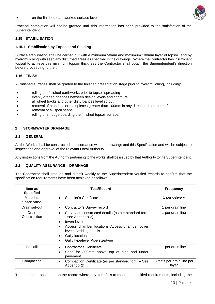#### • on the finished earthworked surface level.



Practical completion will not be granted until this information has been provided to the satisfaction of the Superintendent.

#### <span id="page-9-0"></span>**1.15 STABILISATION**

#### <span id="page-9-1"></span>**1.15.1 Stabilisation by Topsoil and Seeding**

Surface stabilisation shall be carried out with a minimum 50mm and maximum 100mm layer of topsoil, and by hydromulching with seed any disturbed areas as specified in the drawings. Where the Contractor has insufficient topsoil to achieve this minimum topsoil thickness the Contractor shall obtain the Superintendent's direction before proceeding further.

#### <span id="page-9-2"></span>**1.16 FINISH**

All finished surfaces shall be graded to the finished presentation stage prior to hydromulching, including:

- rolling the finished earthworks prior to topsoil spreading
- evenly graded changes between design levels and contours
- all wheel tracks and other disturbances levelled out
- removal of all debris or rock pieces greater than 100mm in any direction from the surface
- removal of all spoil heaps
- rolling or smudge boarding the finished topsoil surface.

#### <span id="page-9-3"></span>**2 STORMWATER DRAINAGE**

#### <span id="page-9-4"></span>**2.1 GENERAL**

All the Works shall be constructed in accordance with the drawings and this Specification and will be subject to inspections and approval of the relevant Local Authority.

Any instructions from the Authority pertaining to the works shall be issued by that Authority to the Superintendent.

#### <span id="page-9-5"></span>**2.2 QUALITY ASSURANCE – DRAINAGE**

The Contractor shall produce and submit weekly to the Superintendent verified records to confirm that the specification requirements have been achieved as follows:

| Item as<br><b>Specified</b>       | <b>Test/Record</b>                                                                                                                                                              | <b>Frequency</b>                    |
|-----------------------------------|---------------------------------------------------------------------------------------------------------------------------------------------------------------------------------|-------------------------------------|
| <b>Materials</b><br>Specification | Supplier's Certificate<br>$\bullet$                                                                                                                                             | 1 per delivery                      |
| Drain set-out                     | Contractor's Survey record<br>$\bullet$                                                                                                                                         | 1 per drain line                    |
| Drain<br>Construction             | Survey as-constructed details (as per standard form<br>- see Appendix 2)                                                                                                        | 1 per drain line                    |
|                                   | Invert levels<br>$\bullet$<br>Access chamber locations Access chamber cover<br>levels Bedding details<br><b>Gully locations</b><br>$\bullet$<br>Gully type/level Pipe size/type |                                     |
| <b>Backfill</b>                   | Contractor's Certificate<br>Sand for 300mm above top of pipe and under<br>pavement                                                                                              | 1 per drain line                    |
| Compaction                        | Compaction Certificate (as per standard form – See<br>$\bullet$<br>Appendix 2)                                                                                                  | 3 tests per drain line per<br>layer |

The contractor shall note on the record where any item fails to meet the specified requirements, including the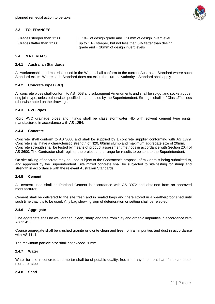

#### <span id="page-10-0"></span>**2.3 TOLERANCES**

| Grades steeper than 1:500 | $\pm$ 10% of design grade and $\pm$ 20mm of design invert level |
|---------------------------|-----------------------------------------------------------------|
| Grades flatter than 1:500 | up to 10% steeper, but not less than 5% flatter than design     |
|                           | grade and $\pm$ 10mm of design invert levels                    |

#### <span id="page-10-1"></span>**2.4 MATERIALS**

#### <span id="page-10-2"></span>**2.4.1 Australian Standards**

All workmanship and materials used in the Works shall conform to the current Australian Standard where such Standard exists. Where such Standard does not exist, the current Authority's Standard shall apply.

#### <span id="page-10-3"></span>**2.4.2 Concrete Pipes (RC)**

All concrete pipes shall conform to AS 4058 and subsequent Amendments and shall be spigot and socket rubber ring joint type, unless otherwise specified or authorised by the Superintendent. Strength shall be "Class 2" unless otherwise noted on the drawings.

#### <span id="page-10-4"></span>**2.4.3 PVC Pipes**

Rigid PVC drainage pipes and fittings shall be class stormwater HD with solvent cement type joints, manufactured in accordance with AS 1254.

#### <span id="page-10-5"></span>**2.4.4 Concrete**

Concrete shall conform to AS 3600 and shall be supplied by a concrete supplier conforming with AS 1379. Concrete shall have a characteristic strength of N20, 60mm slump and maximum aggregate size of 20mm. Concrete strength shall be tested by means of product assessment methods in accordance with Section 20.4 of AS 3600. The Contractor shall register the project and arrange for results to be sent to the Superintendent.

On site mixing of concrete may be used subject to the Contractor's proposal of mix details being submitted to, and approved by the Superintendent. Site mixed concrete shall be subjected to site testing for slump and strength in accordance with the relevant Australian Standards.

#### <span id="page-10-6"></span>**2.4.5 Cement**

All cement used shall be Portland Cement in accordance with AS 3972 and obtained from an approved manufacturer.

Cement shall be delivered to the site fresh and in sealed bags and there stored in a weatherproof shed until such time that it is to be used. Any bag showing sign of deterioration or setting shall be rejected.

#### <span id="page-10-7"></span>**2.4.6 Aggregate**

Fine aggregate shall be well graded, clean, sharp and free from clay and organic impurities in accordance with AS 1141.

Coarse aggregate shall be crushed granite or diorite clean and free from all impurities and dust in accordance with AS 1141.

The maximum particle size shall not exceed 20mm.

#### <span id="page-10-8"></span>**2.4.7 Water**

Water for use in concrete and mortar shall be of potable quality, free from any impurities harmful to concrete, mortar or steel.

#### <span id="page-10-9"></span>**2.4.8 Sand**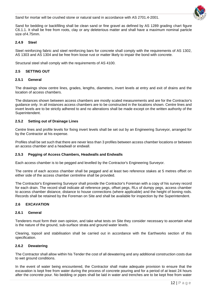Sand for mortar will be crushed stone or natural sand in accordance with AS 2701.4-2001.



Sand for bedding or backfilling shall be clean sand or fine gravel as defined by AS 1289 grading chart figure C6.1.1. It shall be free from roots, clay or any deleterious matter and shall have a maximum nominal particle size of 4.75mm.

#### <span id="page-11-0"></span>**2.4.9 Steel**

Steel reinforcing fabric and steel reinforcing bars for concrete shall comply with the requirements of AS 1302, AS 1303 and AS 1304 and be free from loose rust or matter likely to impair the bond with concrete.

Structural steel shall comply with the requirements of AS 4100.

#### <span id="page-11-1"></span>**2.5 SETTING OUT**

#### <span id="page-11-2"></span>**2.5.1 General**

The drawings show centre lines, grades, lengths, diameters, invert levels at entry and exit of drains and the location of access chambers.

The distances shown between access chambers are mostly scaled measurements and are for the Contractor's guidance only. In all instances access chambers are to be constructed in the locations shown. Centre lines and invert levels are to be strictly adhered to and no alterations shall be made except on the written authority of the Superintendent.

#### <span id="page-11-3"></span>**2.5.2 Setting out of Drainage Lines**

Centre lines and profile levels for fixing invert levels shall be set out by an Engineering Surveyor, arranged for by the Contractor at his expense.

Profiles shall be set such that there are never less than 3 profiles between access chamber locations or between an access chamber and a headwall or endwall.

#### <span id="page-11-4"></span>**2.5.3 Pegging of Access Chambers, Headwalls and Endwalls**

Each access chamber is to be pegged and levelled by the Contractor's Engineering Surveyor.

The centre of each access chamber shall be pegged and at least two reference stakes at 5 metres offset on either side of the access chamber centreline shall be provided.

The Contractor's Engineering Surveyor shall provide the Contractor's Foreman with a copy of his survey record for each drain. The record shall indicate all reference pegs, offset pegs, RLs of dumpy pegs, access chamber to access chamber distance, distance to house connections (where applicable) and the height of boning rods. Records shall be retained by the Foreman on Site and shall be available for inspection by the Superintendent.

#### <span id="page-11-5"></span>**2.6 EXCAVATION**

#### <span id="page-11-6"></span>**2.6.1 General**

Tenderers must form their own opinion, and take what tests on Site they consider necessary to ascertain what is the nature of the ground, sub-surface strata and ground water levels.

Clearing, topsoil and stabilisation shall be carried out in accordance with the Earthworks section of this specification.

#### <span id="page-11-7"></span>**2.6.2 Dewatering**

The Contractor shall allow within his Tender the cost of all dewatering and any additional construction costs due to wet ground conditions.

In the event of water being encountered, the Contractor shall make adequate provision to ensure that the excavation is kept free from water during the process of concrete pouring and for a period of at least 24 hours after the concrete pour. No bedding or pipes shall be laid in water and trenches are to be kept free from water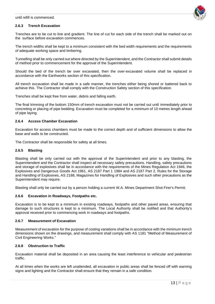until refill is commenced.



#### <span id="page-12-0"></span>**2.6.3 Trench Excavation**

Trenches are to be cut to line and gradient. The line of cut for each side of the trench shall be marked out on the surface before excavation commences.

The trench widths shall be kept to a minimum consistent with the bed width requirements and the requirements of adequate working space and timbering.

Tunnelling shall be only carried out where directed by the Superintendent, and the Contractor shall submit details of method prior to commencement for the approval of the Superintendent.

Should the bed of the trench be over excavated, then the over-excavated volume shall be replaced in accordance with the Earthworks section of this specification.

All trench excavation shall be made in a safe manner, the trenches either being shored or battered back to achieve this. The Contractor shall comply with the Construction Safety section of this specification.

Trenches shall be kept free from water, debris and falling earth.

The final trimming of the bottom 150mm of trench excavation must not be carried out until immediately prior to concreting or placing of pipe bedding. Excavation must be completed for a minimum of 10 metres length ahead of pipe laying.

#### <span id="page-12-1"></span>**2.6.4 Access Chamber Excavation**

Excavation for access chambers must be made to the correct depth and of sufficient dimensions to allow the base and walls to be constructed.

The Contractor shall be responsible for safety at all times.

#### <span id="page-12-2"></span>**2.6.5 Blasting**

Blasting shall be only carried out with the approval of the Superintendent and prior to any blasting, the Superintendent and the Contractor shall inspect all necessary safety precautions. Handling, safety precautions and storage of explosives shall be in accordance with the requirements of the Mines Regulation Act 1946, the Explosives and Dangerous Goods Act 1961, AS 2187 Part 1 1984 and AS 2187 Part 2, Rules for the Storage and Handling of Explosives, AS 2188, Magazines for Handling of Explosives and such other precautions as the Superintendent may require.

Blasting shall only be carried out by a person holding a current W.A. Mines Department Shot Firer's Permit.

#### <span id="page-12-3"></span>**2.6.6 Excavation in Roadways, Footpaths etc.**

Excavation is to be kept to a minimum in existing roadways, footpaths and other paved areas, ensuring that damage to such structures is kept to a minimum. The Local Authority shall be notified and that Authority's approval received prior to commencing work in roadways and footpaths.

#### <span id="page-12-4"></span>**2.6.7 Measurement of Excavation**

Measurement of excavation for the purpose of costing variations shall be in accordance with the minimum trench dimensions shown on the drawings, and measurement shall comply with AS 1181 "Method of Measurement of Civil Engineering Works."

#### <span id="page-12-5"></span>**2.6.8 Obstruction to Traffic**

Excavation material shall be deposited in an area causing the least interference to vehicular and pedestrian traffic.

At all times when the works are left unattended, all excavation in public areas shall be fenced off with warning signs and lighting and the Contractor shall ensure that they remain in a safe condition.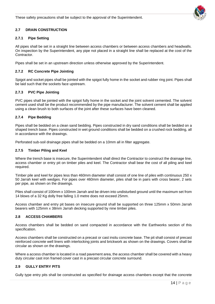These safety precautions shall be subject to the approval of the Superintendent.



### <span id="page-13-0"></span>**2.7 DRAIN CONSTRUCTION**

#### <span id="page-13-1"></span>**2.7.1 Pipe Setting**

All pipes shall be set in a straight line between access chambers or between access chambers and headwalls. On inspection by the Superintendent, any pipe not placed in a straight line shall be replaced at the cost of the Contractor.

Pipes shall be set in an upstream direction unless otherwise approved by the Superintendent.

#### <span id="page-13-2"></span>**2.7.2 RC Concrete Pipe Jointing**

Spigot and socket pipes shall be jointed with the spigot fully home in the socket and rubber ring joint. Pipes shall be laid such that the sockets face upstream.

#### <span id="page-13-3"></span>**2.7.3 PVC Pipe Jointing**

PVC pipes shall be jointed with the spigot fully home in the socket and the joint solvent cemented. The solvent cement used shall be the product recommended by the pipe manufacturer. The solvent cement shall be applied using a clean brush to both surfaces of the joint after these surfaces have been cleaned.

#### <span id="page-13-4"></span>**2.7.4 Pipe Bedding**

Pipes shall be bedded on a clean sand bedding. Pipes constructed in dry sand conditions shall be bedded on a shaped trench base. Pipes constructed in wet ground conditions shall be bedded on a crushed rock bedding, all in accordance with the drawings.

Perforated sub-soil drainage pipes shall be bedded on a 10mm all in filter aggregate.

#### <span id="page-13-5"></span>**2.7.5 Timber Piling and Keel**

Where the trench base is insecure, the Superintendent shall direct the Contractor to construct the drainage line, access chamber or entry pit on timber piles and keel. The Contractor shall bear the cost of all piling and keel required.

Timber pile and keel for pipes less than 460mm diameter shall consist of one line of piles with continuous 250 x 50 Jarrah keel with wedges. For pipes over 460mm diameter, piles shall be in pairs with cross bearer, 2 sets per pipe, as shown on the drawings.

Piles shall consist of 100mm x 100mm Jarrah and be driven into undisturbed ground until the maximum set from 14 blows of a 32 Kg dolly free falling 1.0 metre does not exceed 25mm.

Access chamber and entry pit bases on insecure ground shall be supported on three 125mm x 50mm Jarrah bearers with 125mm x 38mm Jarrah decking supported by nine timber piles.

#### <span id="page-13-6"></span>**2.8 ACCESS CHAMBERS**

Access chambers shall be bedded on sand compacted in accordance with the Earthworks section of this specification.

Access chambers shall be constructed on a precast or cast insitu concrete base. The pit shall consist of precast reinforced concrete well liners with interlocking joints and brickwork as shown on the drawings. Covers shall be circular as shown on the drawings.

Where a access chamber is located in a road pavement area, the access chamber shall be covered with a heavy duty circular cast iron framed cover cast in a precast circular concrete surround.

#### <span id="page-13-7"></span>**2.9 GULLY ENTRY PITS**

Gully type entry pits shall be constructed as specified for drainage access chambers except that the concrete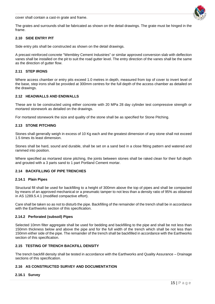cover shall contain a cast-in grate and frame.



The grates and surrounds shall be fabricated as shown on the detail drawings. The grate must be hinged in the frame.

#### <span id="page-14-0"></span>**2.10 SIDE ENTRY PIT**

Side entry pits shall be constructed as shown on the detail drawings.

A precast reinforced concrete "Wembley Cement Industries" or similar approved conversion slab with deflection vanes shall be installed on the pit to suit the road gutter level. The entry direction of the vanes shall be the same as the direction of gutter flow.

#### <span id="page-14-1"></span>**2.11 STEP IRONS**

Where access chamber or entry pits exceed 1.0 metres in depth, measured from top of cover to invert level of the base, step irons shall be provided at 300mm centres for the full depth of the access chamber as detailed on the drawings.

#### <span id="page-14-2"></span>**2.12 HEADWALLS AND ENDWALLS**

These are to be constructed using either concrete with 20 MPa 28 day cylinder test compressive strength or mortared stonework as detailed on the drawings.

For mortared stonework the size and quality of the stone shall be as specified for Stone Pitching.

#### <span id="page-14-3"></span>**2.13 STONE PITCHING**

Stones shall generally weigh in excess of 10 Kg each and the greatest dimension of any stone shall not exceed 1.5 times its least dimension.

Stones shall be hard, sound and durable, shall be set on a sand bed in a close fitting pattern and watered and rammed into position.

Where specified as mortared stone pitching, the joints between stones shall be raked clean for their full depth and grouted with a 3 parts sand to 1 part Portland Cement mortar.

#### <span id="page-14-4"></span>**2.14 BACKFILLING OF PIPE TRENCHES**

#### <span id="page-14-5"></span>**2.14.1 Plain Pipes**

Structural fill shall be used for backfilling to a height of 300mm above the top of pipes and shall be compacted by means of an approved mechanical or a pneumatic tamper to not less than a density ratio of 95% as obtained in AS 1289.5.4.1 (modified compactive effort).

Care shall be taken so as not to disturb the pipe. Backfilling of the remainder of the trench shall be in accordance with the Earthworks section of this specification.

#### <span id="page-14-6"></span>**2.14.2 Perforated (subsoil) Pipes**

Selected 10mm filter aggregate shall be used for bedding and backfilling to the pipe and shall be not less than 150mm thickness below and above the pipe and for the full width of the trench which shall be not less than 150mm either side of the pipe. The remainder of the trench shall be backfilled in accordance with the Earthworks section of this specification.

#### <span id="page-14-7"></span>**2.15 TESTING OF TRENCH BACKFILL DENSITY**

The trench backfill density shall be tested in accordance with the Earthworks and Quality Assurance – Drainage sections of this specification.

#### <span id="page-14-8"></span>**2.16 AS CONSTRUCTED SURVEY AND DOCUMENTATION**

#### <span id="page-14-9"></span>**2.16.1 Survey**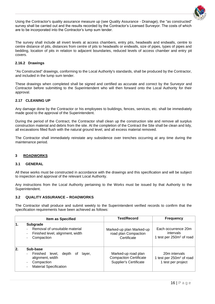

Using the Contractor's quality assurance measure up (see Quality Assurance - Drainage), the "as constructed" survey shall be carried out and the results recorded by the Contractor's Licensed Surveyor. The costs of which are to be incorporated into the Contractor's lump sum tender.

The survey shall include all invert levels at access chambers, entry pits, headwalls and endwalls, centre to centre distance of pits, distances from centre of pits to headwalls or endwalls, size of pipes, types of pipes and bedding, location of pits in relation to adjacent boundaries, reduced levels of access chamber and entry pit covers.

#### <span id="page-15-0"></span>**2.16.2 Drawings**

"As Constructed" drawings, conforming to the Local Authority's standards, shall be produced by the Contractor, and included in the lump sum tender.

These drawings when completed shall be signed and certified as accurate and correct by the Surveyor and Contractor before submitting to the Superintendent who will then forward onto the Local Authority for their approval.

#### <span id="page-15-1"></span>**2.17 CLEANING UP**

Any damage done by the Contractor or his employees to buildings, fences, services, etc. shall be immediately made good to the approval of the Superintendent.

During the period of the Contract, the Contractor shall clean up the construction site and remove all surplus construction material and debris from the site. At the completion of the Contract the Site shall be clean and tidy, all excavations filled flush with the natural ground level, and all excess material removed.

The Contractor shall immediately reinstate any subsidence over trenches occurring at any time during the maintenance period.

#### <span id="page-15-2"></span>**3 ROADWORKS**

#### <span id="page-15-3"></span>**3.1 GENERAL**

All these works must be constructed in accordance with the drawings and this specification and will be subject to inspection and approval of the relevant Local Authority.

Any instructions from the Local Authority pertaining to the Works must be issued by that Authority to the Superintendent.

#### <span id="page-15-4"></span>**3.2 QUALITY ASSURANCE – ROADWORKS**

The Contractor shall produce and submit weekly to the Superintendent verified records to confirm that the specification requirements have been achieved as follows:

|     | Item as Specified                                                                                                          | <b>Test/Record</b>                                                                    | <b>Frequency</b>                                                            |
|-----|----------------------------------------------------------------------------------------------------------------------------|---------------------------------------------------------------------------------------|-----------------------------------------------------------------------------|
|     | <b>Subgrade</b><br>Removal of unsuitable material<br>Finished level, alignment, width<br>Compaction                        | Marked-up plan Marked-up<br>road plan Compaction<br>Certificate                       | Each occurrence 20m<br>intervals<br>1 test per 250m <sup>2</sup> of road    |
| 12. | Sub-base<br>Finished<br>level,<br>depth<br>layer,<br>0t<br>alignment, width<br>Compaction<br><b>Material Specification</b> | Marked-up road plan<br><b>Compaction Certificate</b><br><b>Supplier's Certificate</b> | 20m intervals<br>1 test per 250m <sup>2</sup> of road<br>1 test per project |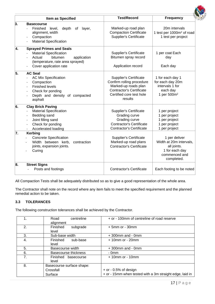

|    | <b>Item as Specified</b>                                                                                                                                           | <b>Test/Record</b>                                                                                                                                           | <b>Frequency</b>                                                                                         |
|----|--------------------------------------------------------------------------------------------------------------------------------------------------------------------|--------------------------------------------------------------------------------------------------------------------------------------------------------------|----------------------------------------------------------------------------------------------------------|
| 3. | <b>Basecourse</b><br>Finished<br>level,<br>depth<br>of<br>layer,<br>alignment, width<br>Compaction<br><b>Material Specification</b>                                | Marked-up road plan<br><b>Compaction Certificate</b><br><b>Supplier's Certificate</b>                                                                        | 20m intervals<br>1 test per 1000m <sup>2</sup> of road<br>1 test per project                             |
| 4. | <b>Sprayed Primes and Seals</b><br><b>Material Specification</b><br>bitumen<br>Actual<br>application<br>(temperature, rate area sprayed)<br>Cover application rate | <b>Supplier's Certificate</b><br>Bitumen spray record<br>Application record                                                                                  | 1 per coat Each<br>day<br>Each day                                                                       |
| 5. | <b>AC Seal</b><br><b>AC Mix Specification</b><br>Compaction<br><b>Finished levels</b><br>Check for ponding<br>Depth and density of compacted<br>asphalt            | <b>Supplier's Certificate</b><br>Confirm rolling procedure<br>Marked-up roads plan<br><b>Contractor's Certificate</b><br>Certified core test hole<br>results | 1 for each day 1<br>for each day 20m<br>intervals 1 for<br>each day<br>1 per 500m <sup>2</sup>           |
| 6. | <b>Clay Brick Paving</b><br><b>Material Specification</b><br>Bedding sand<br>Joint filling sand<br>Check for ponding<br>Accelerated loading                        | <b>Supplier's Certificate</b><br>Grading curve<br>Grading curve<br><b>Contractor's Certificate</b><br><b>Contractor's Certificate</b>                        | 1 per project<br>1 per project<br>1 per project<br>1 per project<br>1 per project                        |
| 7. | <b>Kerbing</b><br><b>Concrete Specification</b><br>Width between kerb,<br>contraction<br>joints, expansion joints.<br>Curing                                       | <b>Supplier's Certificate</b><br>Marked-up road plans<br><b>Contractor's Certificate</b>                                                                     | 1 per deliver<br>Width at 20m intervals,<br>all joints.<br>1 for each day<br>commenced and<br>completed. |
| 8. | <b>Street Signs</b><br>Posts and footings                                                                                                                          | <b>Contractor's Certificate</b>                                                                                                                              | Each footing to be noted                                                                                 |

All Compaction Tests shall be adequately distributed so as to give a good representation of the whole area.

The Contractor shall note on the record where any item fails to meet the specified requirement and the planned remedial action to be taken.

#### <span id="page-16-0"></span>**3.3 TOLERANCES**

The following construction tolerances shall be achieved by the Contractor.

|                | centreline<br>Road<br>alignment | + or - 100mm of centreline of road reserve               |
|----------------|---------------------------------|----------------------------------------------------------|
| 2.             | Finished<br>subgrade<br>level   | $+5$ mm or - 30mm                                        |
| 3.             | Sub-base width                  | $+300$ mm and - 0mm                                      |
| 4.             | Finished<br>sub-base<br>level   | $+10$ mm or - 20mm                                       |
| 5.             | Basecourse width                | $+300$ mm and - 0mm                                      |
| 6.             | Basecourse thickness            | - 0mm                                                    |
| 7 <sub>1</sub> | Finished<br>basecourse<br>level | $+10$ mm or - 10mm                                       |
| 8.             | Basecourse surface shape:       |                                                          |
|                | Crossfall                       | $+$ or $-0.5%$ of design                                 |
|                | Surface                         | + or - 15mm when tested with a 3m straight edge, laid in |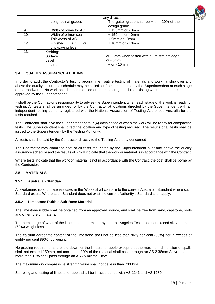

|     | Longitudinal grades                    | any direction.<br>The gutter grade shall be $+$ or $-$ 20% of the<br>design grade.  |
|-----|----------------------------------------|-------------------------------------------------------------------------------------|
| 9.  | Width of prime for AC                  | $+150$ mm or - 0mm                                                                  |
| 10. | Width of primer seal                   | $+150$ mm or - 0mm                                                                  |
| 11. | Thickness of AC                        | $+5$ mm or - 0mm                                                                    |
| 12. | Finished AC<br>or<br>brickpaving level | $+10$ mm or - 10mm                                                                  |
| 13. | Kerbing:<br>Surface<br>Level<br>Line   | + or - 5mm when tested with a 3m straight edge<br>$+$ or $-$ 5mm<br>$+$ or $-$ 10mm |

#### <span id="page-17-0"></span>**3.4 QUALITY ASSURANCE AUDITING**

In order to audit the Contractor's testing programme, routine testing of materials and workmanship over and above the quality assurance schedule may be called for from time to time by the Superintendent at each stage of the roadworks. No work shall be commenced on the next stage until the existing work has been tested and approved by the Superintendent.

It shall be the Contractor's responsibility to advise the Superintendent when each stage of the work is ready for testing. All tests shall be arranged for by the Contractor at locations directed by the Superintendent with an independent testing authority registered with the National Association of Testing Authorities Australia for the tests required.

The Contractor shall give the Superintendent four (4) days notice of when the work will be ready for compaction tests. The Superintendent shall direct the location and type of testing required. The results of all tests shall be issued to the Superintendent by the Testing Authority.

All tests shall be paid by the Contractor directly to the Testing Authority concerned.

The Contractor may claim the cost of all tests requested by the Superintendent over and above the quality assurance schedule and the results of which indicate that the work or material is in accordance with the Contract.

Where tests indicate that the work or material is not in accordance with the Contract, the cost shall be borne by the Contractor.

#### <span id="page-17-1"></span>**3.5 MATERIALS**

#### <span id="page-17-2"></span>**3.5.1 Australian Standard**

All workmanship and materials used in the Works shall conform to the current Australian Standard where such Standard exists. Where such Standard does not exist the current Authority's Standard shall apply.

#### <span id="page-17-3"></span>**3.5.2 Limestone Rubble Sub-Base Material**

The limestone rubble shall be obtained from an approved source, and shall be free from sand, capstone, roots and other foreign material.

The percentage of wear of the limestone, determined by the Los Angeles Test, shall not exceed sixty per cent (60%) weight loss.

The calcium carbonate content of the limestone shall not be less than sixty per cent (60%) nor in excess of eighty per cent (80%) by weight.

No grading requirements are laid down for the limestone rubble except that the maximum dimension of spalls shall not exceed 150mm, not more than 80% of the material shall pass through an AS 2.36mm Sieve and not more than 15% shall pass through an AS 75 micron Sieve.

The maximum dry compressive strength value shall not be less than 700 kPa.

Sampling and testing of limestone rubble shall be in accordance with AS 1141 and AS 1289.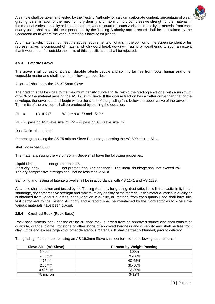

the material varies in quality or is obtained from various quarries, each variation in quality or material from each quarry used shall have this test performed by the Testing Authority and a record shall be maintained by the Contractor as to where the various materials have been placed.

Any material which does not meet the above requirements or which, in the opinion of the Superintendent or his representative, is composed of material which would break down with aging or weathering to such an extent that it would then fall outside the limits of this specification, shall be rejected.

#### <span id="page-18-0"></span>**3.5.3 Laterite Gravel**

The gravel shall consist of a clean, durable laterite pebble and soil mortar free from roots, humus and other vegetable matter and shall have the following properties:-

All gravel shall pass the AS 37.5mm Sieve.

The grading shall be close to the maximum density curve and fall within the grading envelope, with a minimum of 90% of the material passing the AS 19.0mm Sieve. If the coarse fraction has a flatter curve than that of the envelope, the envelope shall begin where the slope of the grading falls below the upper curve of the envelope. The limits of the envelope shall be produced by plotting the equation:

P1 =  $(D1/D2)^n$  Where n = 1/3 and 1/2 P2

P1 = % passing AS Sieve size D1 P2 = % passing AS Sieve size D2

Dust Ratio - the ratio of:

Percentage passing the AS 75 micron Sieve Percentage passing the AS 600 micron Sieve

shall not exceed 0.66.

The material passing the AS 0.425mm Sieve shall have the following properties:

Liquid Limit - not greater than 25<br>Plasticity Index - not greater not greater than 6 or less than 2 The linear shrinkage shall not exceed 2%. The dry compressive strength shall not be less than 2 MPa.

Sampling and testing of laterite gravel shall be in accordance with AS 1141 and AS 1289.

A sample shall be taken and tested by the Testing Authority for grading, dust ratio, liquid limit, plastic limit, linear shrinkage, dry compressive strength and maximum dry density of the material. If the material varies in quality or is obtained from various quarries, each variation in quality, or, material from each quarry used shall have this test performed by the Testing Authority and a record shall be maintained by the Contractor as to where the various materials have been placed.

#### <span id="page-18-1"></span>**3.5.4 Crushed Rock (Rock Base)**

Rock base material shall consist of fine crushed rock, quarried from an approved source and shall consist of quartzite, granite, diorite, ironstone or other stone of approved hardness and durability and shall be free from clay lumps and excess organic or other deleterious materials. It shall be freshly blended, prior to delivery.

The grading of the portion passing an AS 19.0mm Sieve shall conform to the following requirements:-

| Sieve Size (AS Sieve) | <b>Percent by Weight Passing</b> |
|-----------------------|----------------------------------|
| 19.0 <sub>mm</sub>    | 100%                             |
| 9.50mm                | 70-80%                           |
| 4.75mm                | 40-65%                           |
| $2.36$ mm             | $30 - 50%$                       |
| $0.425$ mm            | 12-30%                           |
| 75 micron             | $3 - 12%$                        |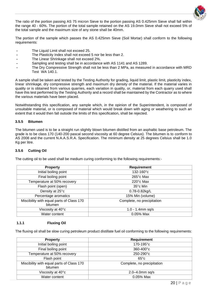

The ratio of the portion passing AS 75 micron Sieve to the portion passing AS 0.425mm Sieve shall fall within the range 40 - 60%. The portion of the total sample retained on the AS 19.0mm Sieve shall not exceed 5% of the total sample and the maximum size of any stone shall be 40mm.

The portion of the sample which passes the AS 0.425mm Sieve (Soil Mortar) shall conform to the following requirements:

- **-** The Liquid Limit shall not exceed 25.
- **-** The Plasticity Index shall not exceed 5 nor be less than 2.
- **-** The Linear Shrinkage shall not exceed 2%.
- **-** Sampling and testing shall be in accordance with AS 1141 and AS 1289.
- **-** The Dry Compressive Strength shall not be less than 2 MPa, as measured in accordance with MRD Test WA 140.1.

A sample shall be taken and tested by the Testing Authority for grading, liquid limit, plastic limit, plasticity index, linear shrinkage, dry compressive strength and maximum dry density of the material. If the material varies in quality or is obtained from various quarries, each variation in quality, or, material from each quarry used shall have this test performed by the Testing Authority and a record shall be maintained by the Contractor as to where the various materials have been placed.

Notwithstanding this specification, any sample which, in the opinion of the Superintendent, is composed of unsuitable material, or is composed of material which would break down with aging or weathering to such an extent that it would then fall outside the limits of this specification, shall be rejected.

#### <span id="page-19-0"></span>**3.5.5 Bitumen**

The bitumen used is to be a straight run slightly blown bitumen distilled from an asphaltic base petroleum. The grade is to be class 170 (140-200 pascal second viscosity at 60 degree Celsius). The bitumen is to conform to AS 2008 and the current N.A.A.S.R.A. Specification. The minimum density at 25 degrees Celsius shall be 1.0 Kg per litre.

#### <span id="page-19-1"></span>**3.5.6 Cutting Oil**

The cutting oil to be used shall be medium curing conforming to the following requirements:-

| <b>Property</b>                                      | Requirement                |  |  |
|------------------------------------------------------|----------------------------|--|--|
| Initial boiling point                                | 132-160°c                  |  |  |
| Final boiling point                                  | $265^\circ$ c Max          |  |  |
| Temperature at 50% recovery                          | $220^\circ$ c Max          |  |  |
| Flash point (open)                                   | 35°c Min                   |  |  |
| Density at 25°c                                      | 0.78-0.82kg/L              |  |  |
| Percentage aromatics                                 | 15% Min (volume)           |  |  |
| Miscibility with equal parts of Class 170<br>bitumen | Complete, no precipitation |  |  |
| Viscosity at 40°c                                    | $1.0 - 1.4$ mm sq/s        |  |  |
| Water content                                        | 0.05% Max                  |  |  |

#### <span id="page-19-2"></span>**1.1.1 Fluxing Oil**

The fluxing oil shall be slow curing petroleum product distillate fuel oil conforming to the following requirements:

| <b>Requirement</b>         |  |  |
|----------------------------|--|--|
| $170 - 195$ °C             |  |  |
| $360 - 400^{\circ}c$       |  |  |
| 250-290°c                  |  |  |
| $65^{\circ}$ c             |  |  |
| Complete, no precipitation |  |  |
| $2.0 - 4.0$ mm sq/s        |  |  |
| 0.05% Max                  |  |  |
|                            |  |  |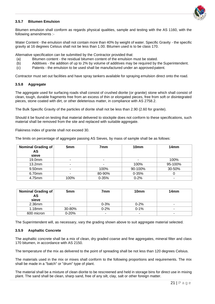

#### <span id="page-20-0"></span>**3.5.7 Bitumen Emulsion**

Bitumen emulsion shall conform as regards physical qualities, sample and testing with the AS 1160, with the following amendments :-

Water Content - the emulsion shall not contain more than 40% by weight of water. Specific Gravity - the specific gravity at 16 degrees Celsius shall not be less than 1.00. Bitumen used is to be class 170.

Alternative specification can be submitted by the Contractor provided that:

- (a) Bitumen content the residual bitumen content of the emulsion must be stated.<br>(b) Additives the addition of up to 2% by volume of additives may be required by t
- Additives the addition of up to 2% by volume of additives may be required by the Superintendent.
- (c) Patents the emulsion to be used shall be manufactured under an approved patent.

Contractor must set out facilities and have spray tankers available for spraying emulsion direct onto the road.

#### <span id="page-20-1"></span>**3.5.8 Aggregate**

The aggregate used for surfacing roads shall consist of crushed diorite (or granite) stone which shall consist of clean, tough, durable fragments free from an excess of thin or elongated pieces, free from soft or disintegrated pieces, stone coated with dirt, or other deleterious matter, in compliance with AS 2758.2.

The Bulk Specific Gravity of the particles of diorite shall not be less than 2.90 (2.60 for granite).

Should it be found on testing that material delivered to stockpile does not conform to these specifications, such material shall be removed from the site and replaced with suitable aggregate.

Flakiness index of granite shall not exceed 30.

The limits on percentage of aggregate passing AS Sieves, by mass of sample shall be as follows:

| Nominal Grading of | 5 <sub>mm</sub> | 7 <sub>mm</sub> | 10mm      | 14mm    |  |
|--------------------|-----------------|-----------------|-----------|---------|--|
| AS                 |                 |                 |           |         |  |
| sieve              |                 |                 |           |         |  |
| 19.0mm             |                 | ۰               | ۰         | 100%    |  |
| $13.2$ mm          |                 |                 | 100%      | 95-100% |  |
| 9.50mm             |                 | 100%            | 90-100%   | 30-50%  |  |
| 6.70mm             |                 | 80-90%          | $0 - 35%$ |         |  |
| 4.75mm             | 100%            | $0 - 35%$       | $0 - 2%$  | ۰       |  |

| Nominal Grading of<br>AS<br>sieve | 5mm       | 7mm      | 10 <sub>mm</sub> | 14 <sub>mm</sub> |
|-----------------------------------|-----------|----------|------------------|------------------|
| 2.36mm                            | -         | $0 - 3%$ | $0 - 2%$         | -                |
| $1.18$ mm                         | 30-80%    | $0 - 2%$ | $0 - 1%$         |                  |
| 600 micron                        | $0 - 20%$ |          | ۰                |                  |

The Superintendent will, as necessary, vary the grading shown above to suit aggregate material selected.

#### <span id="page-20-2"></span>**3.5.9 Asphaltic Concrete**

The asphaltic concrete shall be a mix of clean, dry graded coarse and fine aggregates, mineral filter and class 170 bitumen, in accordance with AS 2150.

The temperature of the mix as delivered to the point of spreading shall be not less than 120 degrees Celsius.

The materials used in the mix or mixes shall conform to the following proportions and requirements. The mix shall be made in a "batch" or "drum" type of plant.

The material shall be a mixture of clean diorite to be rescreened and held in storage bins for direct use in mixing plant. The sand shall be clean, sharp sand, free of any silt, clay, salt or other foreign matter.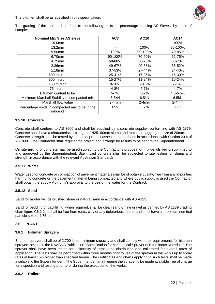

The bitumen shall be as specified in this specification.

The grading of the mix shall conform to the following limits on percentage passing AS Sieves, by mass of sample:-

| <b>Nominal Mix Size AS sieve</b>                           | AC7       | <b>AC10</b> | <b>AC14</b> |
|------------------------------------------------------------|-----------|-------------|-------------|
| 19.0mm                                                     |           | ٠           | 100%        |
| 13.2 <sub>mm</sub>                                         |           | 100%        | 85-100%     |
| 9.50mm                                                     | 100%      | 90-100%     | 70-85%      |
| 6.70mm                                                     | 90-100%   | 70-90%      | 62-75%      |
| 4.75mm                                                     | 68-88%    | 58-76%      | 53-70%      |
| $2.36$ mm                                                  | 49-67%    | 40-58%      | 35-52%      |
| 1.18mm                                                     | 37-53%    | 27-44%      | 24-40%      |
| 600 micron                                                 | 25-41%    | 17-35%      | 15-30%      |
| 300 micron                                                 | 15-27%    | 11-24%      | 10-24%      |
| 150 micron                                                 | $8 - 16%$ | 7-16%       | 7-16%       |
| 75 micron                                                  | 4-8%      | 4-7%        | 4-7%        |
| Bitumen content to be                                      | $5 - 7%$  | $5 - 7%$    | 4.5-6.5%    |
| Minimum Marshall Stability of compacted mix                | 5.5kN     | 6.5kN       | 6.5kN       |
| Marshall flow value                                        | $2-4mm$   | $2-4mm$     | $2-4mm$     |
| Percentage voids in compacted mix to be in the<br>range of | $3 - 5%$  | $3 - 7%$    | $3 - 7%$    |

#### <span id="page-21-0"></span>**3.5.10 Concrete**

Concrete shall conform to AS 3600 and shall be supplied by a concrete supplier conforming with AS 1379. Concrete shall have a characteristic strength of N25, 60mm slump and maximum aggregate size of 20mm. Concrete strength shall be tested by means of product assessment methods in accordance with Section 20.4 of AS 3600. The Contractor shall register the project and arrange for results to be sent to the Superintendent.

On site mixing of concrete may be used subject to the Contractor's proposal of mix details being submitted to and approved by the Superintendent. Site mixed concrete shall be subjected to site testing for slump and strength in accordance with the relevant Australian Standards.

#### <span id="page-21-1"></span>**3.5.11 Water**

Water used for concrete or compaction of pavement materials shall be of potable quality, free from any impurities harmful to concrete or the pavement material being compacted and where public supply is used the Contractor shall obtain the supply Authority's approval to the use of the water for the Contract.

#### <span id="page-21-2"></span>**3.5.12 Sand**

Sand for mortar will be crushed stone or natural sand in accordance with AS A123.

Sand for bedding or backfilling, when required, shall be clean sand or fine gravel as defined by AS 1289 grading chart figure C6.1.1. It shall be free from roots, clay or any deleterious matter and shall have a maximum nominal particle size of 4.75mm.

#### <span id="page-21-3"></span>**3.6 PLANT**

#### <span id="page-21-4"></span>**3.6.1 Bitumen Sprayers**

Bitumen sprayers shall be of 2,700 litres minimum capacity and shall comply with the requirements for bitumen sprayers set out in the NAASRA Publication "Specification for Mechanical Sprayer of Bituminous Materials". The sprayer shall have been tested for uniformity of transverse distribution and calibrated for overall rates of application. The tests shall be performed within three months prior to use of the sprayer in the works up to spray rates at least 15% higher than specified herein. The certificates and charts applying to such tests shall be made available to the Superintendent. The Superintendent may require the sprayer to be made available free of charge for inspection and testing prior to or during the execution of the works.

#### <span id="page-21-5"></span>**3.6.2 Rollers**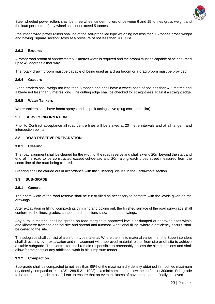

Steel wheeled power rollers shall be three wheel tandem rollers of between 6 and 15 tonnes gross weight and the load per metre of any wheel shall not exceed 5 tonnes.

Pneumatic tyred power rollers shall be of the self-propelled type weighing not less than 15 tonnes gross weight and having "square section" tyres at a pressure of not less than 700 KPa.

#### <span id="page-22-0"></span>**3.6.3 Brooms**

A rotary road broom of approximately 2 metres width is required and the broom must be capable of being turned up to 45 degrees either way.

The rotary drawn broom must be capable of being used as a drag broom or a drag broom must be provided.

#### <span id="page-22-1"></span>**3.6.4 Graders**

Blade graders shall weigh not less than 5 tonnes and shall have a wheel base of not less than 4.5 metres and a blade not less than 3 metres long. The cutting edge shall be checked for straightness against a straight edge.

#### <span id="page-22-2"></span>**3.6.5 Water Tankers**

Water tankers shall have boom sprays and a quick acting valve (plug cock or similar).

#### <span id="page-22-3"></span>**3.7 SURVEY INFORMATION**

Prior to Contract acceptance all road centre lines will be staked at 20 metre intervals and at all tangent and intersection points.

#### <span id="page-22-4"></span>**3.8 ROAD RESERVE PREPARATION**

#### <span id="page-22-5"></span>**3.8.1 Clearing**

The road alignment shall be cleared for the width of the road reserve and shall extend 20m beyond the start and end of the road to be constructed except cul-de-sac and 20m along each cross street measured from the centreline of the road being cleared.

Clearing shall be carried out in accordance with the "Clearing" clause in the Earthworks section.

#### <span id="page-22-6"></span>**3.9 SUB-GRADE**

#### <span id="page-22-7"></span>**3.9.1 General**

The entire width of the road reserve shall be cut or filled as necessary to conform with the levels given on the drawings.

After excavation or filling, compacting, trimming and boxing out, the finished surface of the road sub-grade shall conform to the lines, grades, shape and dimensions shown on the drawings.

Any surplus material shall be spread on road margins to approved levels or dumped at approved sites within one kilometre from the original site and spread and trimmed. Additional filling, where a deficiency occurs, shall be carted to the site.

The subgrade shall consist of a uniform type material. Where the in-situ material varies then the Superintendent shall direct any over excavation and replacement with approved material, either from site or off site to achieve a stable subgrade. The Contractor shall remain responsible to reasonably assess the site conditions and shall allow for the costs of any additional work in his lump sum tender.

#### <span id="page-22-8"></span>**3.9.2 Compaction**

Sub-grade shall be compacted to not less than 95% of the maximum dry density obtained in modified maximum dry density compaction tests (AS 1289.5.2.1-1993) to a minimum depth below the surface of 300mm. Sub-grade to be formed to grade, crossfall etc. to ensure that an even thickness of pavement can be finally achieved.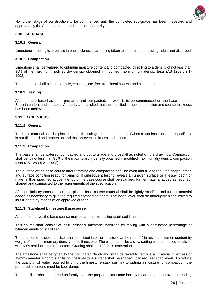

No further stage of construction to be commenced until the completed sub-grade has been inspected and approved by the Superintendent and the Local Authority.

#### <span id="page-23-0"></span>**3.10 SUB-BASE**

#### <span id="page-23-1"></span>**3.10.1 General**

Limestone sheeting is to be laid in one thickness, care being taken to ensure that the sub-grade is not disturbed.

#### <span id="page-23-2"></span>**3.10.2 Compaction**

Limestone shall be watered to optimum moisture content and compacted by rolling to a density of not less than 95% of the maximum modified dry density obtained in modified maximum dry density tests (AS 1289.5.2.1- 1993).

The sub-base shall be cut to grade, crossfall, etc. free from local hollows and high spots.

#### <span id="page-23-3"></span>**3.10.3 Testing**

After the sub-base has been prepared and compacted, no work is to be commenced on the base until the Superintendent and the Local Authority are satisfied that the specified shape, compaction and course thickness has been achieved.

#### <span id="page-23-4"></span>**3.11 BASECOURSE**

#### <span id="page-23-5"></span>**3.11.1 General**

The base material shall be placed so that the sub-grade or the sub-base (when a sub-base has been specified), is not disturbed and broken up and that an even thickness is obtained.

#### <span id="page-23-6"></span>**3.11.2 Compaction**

The base shall be watered, compacted and cut to grade and crossfall as noted on the drawings. Compaction shall be to not less than 98% of the maximum dry density obtained in modified maximum dry density compaction tests (AS 1289.5.2.1-1993).

The surface of the base course after trimming and compaction shall be even and true to required shape, grade and surface condition ready for priming. If subsequent testing reveals an uneven surface or a lesser depth of material than specified above, the top of the base course shall be scarified, further material added as required, shaped and compacted to the requirements of the specification.

After preliminary consolidation, the placed base course material shall be lightly scarified and further material added as necessary to give the required compacted depth. The loose layer shall be thoroughly blade-mixed to its full depth by means of an approved grader.

#### <span id="page-23-7"></span>**3.11.3 Stabilised Limestone Basecourse**

As an alternative, the base course may be constructed using stabilised limestone.

This course shall consist of insitu crushed limestone stabilised by mixing with a nominated percentage of bitumen emulsion stabiliser.

The bitumen emulsion stabiliser shall be mixed into the limestone at the rate of 2% residual bitumen content by weight of the maximum dry density of the limestone. The binder shall be a slow setting bitumen based emulsion with 60% residual bitumen content. Grading shall be 180-210 penetration.

The limestone shall be tyned to the nominated depth and shall be raked to remove all material in excess of 19mm diameter. Prior to stabilising, the limestone surface shall be shaped up to required road levels. To reduce the quantity of water required to bring the limestone stabiliser mix to optimum moisture for compaction, the prepared limestone must be kept damp.

The stabiliser shall be spread uniformly over the prepared limestone bed by means of an approved spreading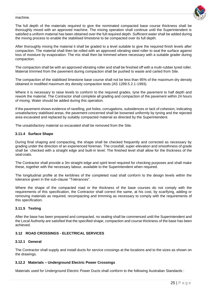#### machine.



The full depth of the materials required to give the nominated compacted base course thickness shall be thoroughly mixed with an approved machine. The mixing operation shall continue until the Superintendent is satisfied a uniform material has been obtained over the full required depth. Sufficient water shall be added during the mixing process to enable the stabilised limestone to be compacted over its full depth.

After thoroughly mixing the material it shall be graded to a level suitable to give the required finish levels after compaction. The material shall then be rolled with an approved vibrating steel roller to seal the surface against loss of moisture by evaporation. The mix shall then be trimmed where necessary with a suitable grader during compaction.

The compaction shall be with an approved vibrating roller and shall be finished off with a multi-rubber tyred roller. Material trimmed from the pavement during compaction shall be pushed to waste and carted from Site.

The compaction of the stabilised limestone base course shall not be less than 95% of the maximum dry density obtained in modified maximum dry density compaction tests (AS 1289.5.2.1-1993).

Where it is necessary to raise levels to conform to the required grades, tyne the pavement to half depth and rework the material. The Contractor shall complete all grading and compaction of the pavement within 24 hours of mixing. Water should be added during this operation.

If the pavement shows evidence of ravelling, pot holes, corrugations, subsidences or lack of cohesion, indicating unsatisfactory stabilised areas, the pavement concerned shall be loosened uniformly by tyning and the rejected area excavated and replaced by suitably compacted material as directed by the Superintendent.

The unsatisfactory material so excavated shall be removed from the Site.

#### <span id="page-24-0"></span>**3.11.4 Surface Shape**

During final shaping and compacting, the shape shall be checked frequently and corrected as necessary by grading under the direction of an experienced foreman. The crossfall, super-elevation and smoothness of grade shall be checked with a straight edge and built-in level. The finished level shall allow for the thickness of the seal coats.

The Contractor shall provide a 3m straight edge and spirit level required for checking purposes and shall make these, together with the necessary labour, available to the Superintendent when required.

The longitudinal profile at the kerblines of the completed road shall conform to the design levels within the tolerance given in the sub-clause "Tolerances".

Where the shape of the compacted road or the thickness of the base courses do not comply with the requirements of this specification, the Contractor shall correct the same, at his cost, by scarifying, adding or removing materials as required, recompacting and trimming as necessary to comply with the requirements of this specification.

#### <span id="page-24-1"></span>**3.11.5 Testing**

After the base has been prepared and compacted, no sealing shall be commenced until the Superintendent and the Local Authority are satisfied that the specified shape, compaction and course thickness of the base has been achieved.

#### <span id="page-24-2"></span>**3.12 ROAD CROSSINGS - ELECTRICAL SERVICES**

#### <span id="page-24-3"></span>**3.12.1 General**

The Contractor shall supply and install ducts for service crossings at the locations and to the sizes as shown on the drawings.

#### <span id="page-24-4"></span>**3.12.2 Materials – Underground Electric Power Crossings**

Materials used for Underground Electric Power Ducts shall conform to the following Australian Standards :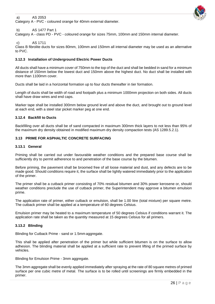#### a) AS 2053

Category A - PVC - coloured orange for 40mm external diameter.



#### b) AS 1477 Part 1

Category A - class PD - PVC - coloured orange for sizes 75mm, 100mm and 150mm internal diameter.

#### c) AS 1711

Class B fibrolite ducts for sizes 80mm, 100mm and 150mm all internal diameter may be used as an alternative to PVC.

#### <span id="page-25-0"></span>**3.12.3 Installation of Underground Electric Power Ducts**

All ducts shall have a minimum cover of 750mm to the top of the duct and shall be bedded in sand for a minimum distance of 150mm below the lowest duct and 150mm above the highest duct. No duct shall be installed with more than 1100mm cover.

Ducts shall be laid in a horizontal formation up to four ducts thereafter in tier formation.

Length of ducts shall be width of road and footpath plus a minimum 1000mm projection on both sides. All ducts shall have draw wires and end caps.

Marker tape shall be installed 300mm below ground level and above the duct, and brought out to ground level at each end, with a steel star picket marker peg at one end.

#### <span id="page-25-1"></span>**3.12.4 Backfill to Ducts**

Backfilling over all ducts shall be of sand compacted in maximum 300mm thick layers to not less than 95% of the maximum dry density obtained in modified maximum dry density compaction tests (AS 1289.5.2.1).

#### <span id="page-25-2"></span>**3.13 PRIME FOR ASPHALTIC CONCRETE SURFACING**

#### <span id="page-25-3"></span>**3.13.1 General**

Priming shall be carried out under favourable weather conditions and the prepared base course shall be sufficiently dry to permit adherence to and penetration of the base course by the bitumen.

Before priming, the pavement shall be broomed free of all loose material and dust, and any defects are to be made good. Should conditions require it, the surface shall be lightly watered immediately prior to the application of the primer.

The primer shall be a cutback primer consisting of 70% residual bitumen and 30% power kerosene or, should weather conditions preclude the use of cutback primer, the Superintendent may approve a bitumen emulsion prime.

The application rate of primer, either cutback or emulsion, shall be 1.00 litre (total mixture) per square metre. The cutback primer shall be applied at a temperature of 60 degrees Celsius.

Emulsion primer may be heated to a maximum temperature of 50 degrees Celsius if conditions warrant it. The application rate shall be taken as the quantity measured at 15 degrees Celsius for all primers.

#### <span id="page-25-4"></span>**3.13.2 Blinding**

Blinding for Cutback Prime - sand or 1.5mm aggregate.

This shall be applied after penetration of the primer but while sufficient bitumen is on the surface to allow adhesion. The blinding material shall be applied at a sufficient rate to prevent lifting of the primed surface by vehicles.

Blinding for Emulsion Prime - 3mm aggregate.

The 3mm aggregate shall be evenly applied immediately after spraying at the rate of 80 square metres of primed surface per one cubic metre of metal. The surface is to be rolled until screenings are firmly embedded in the primer.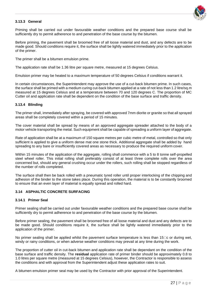

#### <span id="page-26-0"></span>**3.13.3 General**

Priming shall be carried out under favourable weather conditions and the prepared base course shall be sufficiently dry to permit adherence to and penetration of the base course by the bitumen.

Before priming, the pavement shall be broomed free of all loose material and dust, and any defects are to be made good. Should conditions require it, the surface shall be lightly watered immediately prior to the application of the primer.

The primer shall be a bitumen emulsion prime.

The application rate shall be 1.36 litre per square metre, measured at 15 degrees Celsius.

Emulsion primer may be heated to a maximum temperature of 50 degrees Celsius if conditions warrant it.

In certain circumstances, the Superintendent may approve the use of a cut-back bitumen prime. In such cases, the surface shall be primed with a medium curing cut-back bitumen applied at a rate of not less than 1.2 litre/sq.m measured at 15 degrees Celsius and at a temperature between 70 and 120 degrees C. The proportion of MC Cutter oil and application rate shall be dependent on the condition of the base surface and traffic density.

#### <span id="page-26-1"></span>**3.13.4 Blinding**

The primer shall, immediately after spraying, be covered with approved 7mm diorite or granite so that all sprayed areas shall be completely covered within a period of 15 minutes.

The cover material shall be spread by means of an approved aggregate spreader attached to the body of a motor vehicle transporting the metal. Such equipment shall be capable of spreading a uniform layer of aggregate.

Rate of application shall be at a maximum of 150 square metres per cubic metre of metal, controlled so that only sufficient is applied to give a uniform dense mat one stone thick. Additional aggregate shall be added by hand spreading to any bare or insufficiently covered areas as necessary to produce the required uniform cover.

Within 15 minutes of the application of the aggregate, rolling shall commence with a 5 to 8 tonne self-propelled steel wheel roller. This initial rolling shall preferably consist of at least three complete rolls over the area concerned but, should any general crushing occur under the rollers, such rolling shall be stopped regardless of the number of rolls completed.

The surface shall then be back rolled with a pneumatic tyred roller until proper interlocking of the chipping and adhesion of the binder to the stone takes place. During this operation, the material is to be constantly broomed to ensure that an even layer of material is equally spread and rolled hard.

#### <span id="page-26-2"></span>**3.14 ASPHALTIC CONCRETE SURFACING**

#### <span id="page-26-3"></span>**3.14.1 Primer Seal**

Primer sealing shall be carried out under favourable weather conditions and the prepared base course shall be sufficiently dry to permit adherence to and penetration of the base course by the bitumen.

Before primer sealing, the pavement shall be broomed free of all loose material and dust and any defects are to be made good. Should conditions require it, the surface shall be lightly watered immediately prior to the application of the primer.

No primer sealing shall be applied whilst the pavement surface temperature is less than  $15\,\text{C}$  or during wet, windy or rainy conditions, or when adverse weather conditions may prevail at any time during the work.

The proportion of cutter oil in cut-back bitumen and application rate shall be dependant on the condition of the base surface and traffic density. The **residual** application rate of primer binder should be approximately 0.8 to 1.0 litres per square metre (measured at 15 degrees Celsius), however, the Contractor is responsible to assess the conditions and with approval from the Superintendent adjust these application rates to suit.

A bitumen emulsion primer seal may be used by the Contractor with prior approval of the Superintendent.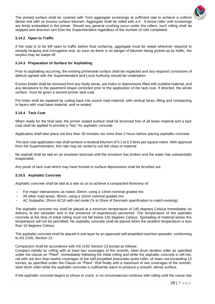

The primed surface shall be covered with 7mm aggregate screenings at sufficient rate to achieve a uniform dense mat with no excess surface bitumen. Aggregate shall be rolled with a 6 - 8 tonne roller until screenings are firmly embedded in the primer. Should any general crushing occur under the rollers, such rolling shall be stopped and direction sort from the Superintendent regardless of the number of rolls completed.

#### <span id="page-27-0"></span>**3.14.2 Open to Traffic**

If the road is to be left open to traffic before final surfacing, aggregate must be swept wherever required to remedy heaping and corrugation and, as soon as there is no danger of bitumen being picked up by traffic, the surplus may be swept off.

#### <span id="page-27-1"></span>**3.14.3 Preparation of Surface for Asphalting**

Prior to asphalting occurring, the existing primerseal surface shall be inspected and any required corrections of defects agreed with the Superintendent and Local Authority should be undertaken.

Excess binder shall be removed from any faulty areas, pot-holes or depressions filled with suitable material, and any deviations to the pavement shape corrected prior to the application of the tack coat. If directed, the whole surface must be given a second primer seal coat.

Pot holes shall be repaired by cutting back into sound road material, with vertical faces, filling and compacting in layers with road base material, and re-sealed.

#### <span id="page-27-2"></span>**3.14.4 Tack Coat**

When ready for the final seal, the primer sealed surface shall be broomed free of all loose material and a tack coat shall be applied to provide a "key" for asphaltic concrete.

Application shall take place not less than 30 minutes nor more than 2 hours before placing asphaltic concrete.

The tack coat application rate shall achieve a residual bitumen of 0.1 to 0.2 litres per square metre. With approval from the Superintendent, this rate may be varied to suit the class of material.

No asphalt shall be laid on an emulsion tackcoat until the emulsion has broken and the water has substantially evaporated.

Any pools of tack coat which may have formed in surface depressions shall be brushed out.

#### <span id="page-27-3"></span>**3.14.5 Asphaltic Concrete**

Asphaltic concrete shall be laid at a rate so as to achieve a compacted thickness of:

- **-** For major intersections as noted; 40mm, using a 14mm nominal graded mix
- **-** All other road areas; 30mm, using a 10mm nominal graded mix.
- **-** AC footpaths; 25mm AC10 with red oxide (% to Shire of Denmark specification to match existing)

The asphaltic concrete mix shall be placed at a minimum temperature of 140 degrees Celsius immediately on delivery to the spreader and in the presence of experienced personnel. The temperature of the asphaltic concrete at the time of initial rolling must not fall below 120 degrees Celsius. Spreading of material below this temperature will not be permitted. No asphaltic concrete shall be placed when the ambient temperature is less than 10 degrees Celsius.

The asphaltic concrete shall be placed in one layer by an approved self propelled machine spreader, conforming to AS 2150, Section 12.

Compaction shall be accordance with AS 2150 Section 13 except as follows:

Compact initially by rolling with at least two coverages of the smooth, steel drum tandem roller as specified under the clause on "Plant". Immediately following the initial rolling and while the asphaltic concrete is still hot, roll with not less than twelve coverages of the self-propelled pneumatic-tyred roller, of mass not exceeding 12 tonnes, as specified under the Clause on "Plant". Roll finally with a maximum of two coverages of the smooth, steel drum roller while the asphaltic concrete is sufficiently warm to produce a smooth, dense surface.

If the asphaltic concrete begins to shove or crack, in no circumstances continue with rolling until the cause has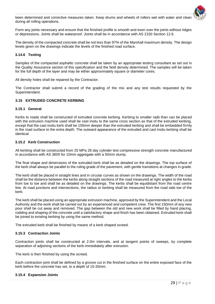

been determined and corrective measures taken. Keep drums and wheels of rollers wet with water and clean during all rolling operations.

Form any joints necessary and ensure that the finished profile is smooth and even over the joints without ridges or depressions. Joints shall be waterproof. Joints shall be in accordance with AS 2150 Section 12.6.

The density of the compacted concrete shall be not less than 97% of the Marshall maximum density. The design levels given on the drawings indicate the levels of the finished road surface.

#### <span id="page-28-0"></span>**3.14.6 Testing**

Samples of the compacted asphaltic concrete shall be taken by an appropriate testing consultant as set out in the Quality Assurance section of this specification and the field density determined. The samples will be taken for the full depth of the layer and may be either approximately square or diameter cores.

All density holes shall be repaired by the Contractor.

The Contractor shall submit a record of the grading of the mix and any test results requested by the Superintendent.

#### <span id="page-28-1"></span>**3.15 EXTRUDED CONCRETE KERBING**

#### <span id="page-28-2"></span>**3.15.1 General**

Kerbs to roads shall be constructed of extruded concrete kerbing. Kerbing to smaller radii than can be placed with the extrusion machine used shall be cast insitu to the same cross section as that of the extruded kerbing, except that the cast insitu kerb shall be 100mm deeper than the extruded kerbing and shall be embedded firmly in the road surface to the extra depth. The outward appearance of the extruded and cast insitu kerbing shall be identical.

#### <span id="page-28-3"></span>**3.15.2 Kerb Construction**

All kerbing shall be constructed from 25 MPa 28 day cylinder test compressive strength concrete manufactured in accordance with AS 3600 for 10mm aggregate with a 50mm slump.

The final shape and dimensions of the extruded kerb shall be as detailed on the drawings. The top surface of the kerb shall always be parallel to the ruling grade of the pavement, with gentle transitions at changes in grade.

The kerb shall be placed in straight lines and in circular curves as shown on the drawings. The width of the road shall be the distance between the kerbs along straight sections of the road measured at right angles to the kerbs from toe to toe and shall be as detailed on the drawings. The kerbs shall be equidistant from the road centre line. At road junctions and intersections, the radius or kerbing shall be measured from the road side toe of the kerb.

The kerb shall be placed using an appropriate extrusion machine, approved by the Superintendent and the Local Authority and the work shall be carried out by an experienced and competent crew. The first 150mm of any new pour shall be cut away and removed. The gap between the old and new work shall be filled by hand placing, rodding and shaping of the concrete until a satisfactory shape and finish has been obtained. Extruded kerb shall be joined to existing kerbing by using the same method.

The extruded kerb shall be finished by means of a kerb shaped screed.

#### <span id="page-28-4"></span>**3.15.3 Contraction Joints**

Contraction joints shall be constructed at 2.0m intervals, and at tangent points of sweeps, by complete separation of adjoining sections of the kerb immediately after extrusion.

The kerb is then finished by using the screed.

Each contraction joint shall be defined by a groove cut in the finished surface on the entire exposed face of the kerb before the concrete has set, to a depth of 15-20mm.

#### <span id="page-28-5"></span>**3.15.4 Expansion Joints**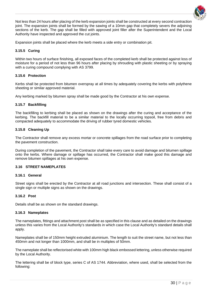

Not less than 24 hours after placing of the kerb expansion joints shall be constructed at every second contraction joint. The expansion joints shall be formed by the sawing of a 10mm gap that completely severs the adjoining sections of the kerb. The gap shall be filled with approved joint filler after the Superintendent and the Local Authority have inspected and approved the cut joints.

Expansion joints shall be placed where the kerb meets a side entry or combination pit.

#### <span id="page-29-0"></span>**3.15.5 Curing**

Within two hours of surface finishing, all exposed faces of the completed kerb shall be protected against loss of moisture for a period of not less than 96 hours after placing by shrouding with plastic sheeting or by spraying with a curing compound complying with AS 3799.

#### <span id="page-29-1"></span>**3.15.6 Protection**

Kerbs shall be protected from bitumen overspray at all times by adequately covering the kerbs with polythene sheeting or similar approved material.

Any kerbing marked by bitumen spray shall be made good by the Contractor at his own expense.

#### <span id="page-29-2"></span>**3.15.7 Backfilling**

The backfilling to kerbing shall be placed as shown on the drawings after the curing and acceptance of the kerbing. The backfill material to be a similar material to the locally occurring topsoil, free from debris and compacted adequately to accommodate the driving of rubber tyred domestic vehicles.

#### <span id="page-29-3"></span>**3.15.8 Cleaning Up**

The Contractor shall remove any excess mortar or concrete spillages from the road surface prior to completing the pavement construction.

During completion of the pavement, the Contractor shall take every care to avoid damage and bitumen spillage onto the kerbs. Where damage or spillage has occurred, the Contractor shall make good this damage and remove bitumen spillages at his own expense.

#### <span id="page-29-4"></span>**3.16 STREET NAMEPLATES**

#### <span id="page-29-5"></span>**3.16.1 General**

Street signs shall be erected by the Contractor at all road junctions and intersection. These shall consist of a single sign or multiple signs as shown on the drawings.

#### <span id="page-29-6"></span>**3.16.2 Post**

Details shall be as shown on the standard drawings.

#### <span id="page-29-7"></span>**3.16.3 Nameplates**

The nameplates, fittings and attachment post shall be as specified in this clause and as detailed on the drawings unless this varies from the Local Authority's standards in which case the Local Authority's standard details shall apply.

Nameplates shall be of 150mm height extruded aluminium. The length to suit the street name, but not less than 450mm and not longer than 1000mm, and shall be in multiples of 50mm.

The nameplate shall be reflectorised white with 100mm high black embossed lettering, unless otherwise required by the Local Authority.

The lettering shall be of block type, series C of AS 1744. Abbreviation, where used, shall be selected from the following: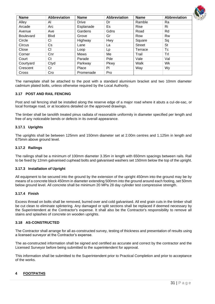

| <b>Name</b>      | <b>Abbreviation</b> | <b>Name</b>  | <b>Abbreviation</b> | <b>Name</b>   | Abbreviation |
|------------------|---------------------|--------------|---------------------|---------------|--------------|
| Alley            | AI                  | <b>Drive</b> | Dr                  | Ramble        | Ra           |
| Arcade           | Arc                 | Esplanade    | Es                  | Rise          | Ri           |
| Avenue           | Ave                 | Gardens      | Gdns                | Road          | Rd           |
| <b>Boulevard</b> | <b>B</b> lvd        | Grove        | Gr                  | Row           | Rw           |
| Circle           | Сi                  | Highway      | Hwy                 | Square        | Sq           |
| Circus           | Cs                  | Lane         | La                  | <b>Street</b> | <b>St</b>    |
| Close            | СI                  | Loop         | Lp                  | Terrace       | Tc           |
| Corner           | Cnr                 | <b>Mews</b>  | Me                  | Trail         | Trl          |
| Court            | Ct                  | Parade       | Pde                 | Vale          | Val          |
| Courtyard        | Ctyd                | Parkway      | Pkwy                | Walk          | Wk           |
| Crescent         | Cr                  | Place        | PI                  | Way           | Wy           |
| Cross            | Cro                 | Promenade    | Pro                 |               |              |

The nameplate shall be attached to the post with a standard aluminium bracket and two 10mm diameter cadmium plated bolts, unless otherwise required by the Local Authority.

#### <span id="page-30-0"></span>**3.17 POST AND RAIL FENCING**

Post and rail fencing shall be installed along the reserve edge of a major road where it abuts a cul-de-sac, or local frontage road, or at locations detailed on the approved drawings.

The timber shall be tanolith treated pinus radiata of reasonable uniformity in diameter specified per length and free of any noticeable bends or defects in its overall appearance.

#### <span id="page-30-1"></span>**3.17.1 Uprights**

The uprights shall be between 125mm and 150mm diameter set at 2.00m centres and 1.125m in length and 675mm above ground level.

#### <span id="page-30-2"></span>**3.17.2 Railings**

The railings shall be a minimum of 100mm diameter 3.35m in length with 650mm spacings between rails. Rail to be fixed by 12mm galvanised cuphead bolts and galvanised washers set 150mm below the top of the upright.

#### <span id="page-30-3"></span>**3.17.3 Installation of Upright**

All equipment to be secured into the ground by the extension of the upright 450mm into the ground may be by means of a concrete block 450mm in diameter extending 500mm into the ground around each footing, set 50mm below ground level. All concrete shall be minimum 20 MPa 28 day cylinder test compressive strength.

#### <span id="page-30-4"></span>**3.17.4 Finish**

Excess thread on bolts shall be removed, burred over and cold galvanised. All end grain cuts in the timber shall be cut clean to eliminate splintering. Any damaged or split sections shall be replaced if deemed necessary by the Superintendent at the Contractor's expense. It shall also be the Contractor's responsibility to remove all stains and splashes of concrete on wooden uprights.

#### <span id="page-30-5"></span>**3.18 AS-CONSTRUCTED**

The Contractor shall arrange for all as-constructed survey, testing of thickness and presentation of results using a licensed surveyor at the Contractor's expense.

The as-constructed information shall be signed and certified as accurate and correct by the contractor and the Licensed Surveyor before being submitted to the superintendent for approval.

This information shall be submitted to the Superintendent prior to Practical Completion and prior to acceptance of the works.

#### <span id="page-30-6"></span>**4 FOOTPATHS**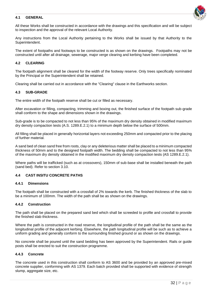#### <span id="page-31-0"></span>**4.1 GENERAL**



All these Works shall be constructed in accordance with the drawings and this specification and will be subject to inspection and the approval of the relevant Local Authority.

Any instructions from the Local Authority pertaining to the Works shall be issued by that Authority to the Superintendent.

The extent of footpaths and footways to be constructed is as shown on the drawings. Footpaths may not be constructed until after all drainage, sewerage, major verge clearing and kerbing have been completed.

#### <span id="page-31-1"></span>**4.2 CLEARING**

The footpath alignment shall be cleared for the width of the footway reserve. Only trees specifically nominated by the Principal or the Superintendent shall be retained.

Clearing shall be carried out in accordance with the "Clearing" clause in the Earthworks section.

#### <span id="page-31-2"></span>**4.3 SUB-GRADE**

The entire width of the footpath reserve shall be cut or filled as necessary.

After excavation or filling, compacting, trimming and boxing out, the finished surface of the footpath sub-grade shall conform to the shape and dimensions shown in the drawings.

Sub-grade is to be compacted to not less than 95% of the maximum dry density obtained in modified maximum dry density compaction tests (A.S. 1289.E.2.1) to a minimum depth below the surface of 500mm.

All filling shall be placed in generally horizontal layers not exceeding 250mm and compacted prior to the placing of further material.

A sand bed of clean sand free from roots, clay or any deleterious matter shall be placed to a minimum compacted thickness of 50mm and to the designed footpath width. The bedding shall be compacted to not less than 95% of the maximum dry density obtained in the modified maximum dry density compaction tests (AS 1289.E.2.1).

Where paths will be trafficked (such as at crossovers), 150mm of sub-base shall be installed beneath the path (sand bed). Refer to section 3.10.

#### <span id="page-31-3"></span>**4.4 CAST INSITU CONCRETE PATHS**

#### <span id="page-31-4"></span>**4.4.1 Dimensions**

The footpath shall be constructed with a crossfall of 2% towards the kerb. The finished thickness of the slab to be a minimum of 100mm. The width of the path shall be as shown on the drawings.

#### <span id="page-31-5"></span>**4.4.2 Construction**

The path shall be placed on the prepared sand bed which shall be screeded to profile and crossfall to provide the finished slab thickness.

Where the path is constructed in the road reserve, the longitudinal profile of the path shall be the same as the longitudinal profile of the adjacent kerbing. Elsewhere, the path longitudinal profile will be such as to achieve a uniform grading and generally conform to the surrounding finished ground or as shown on the drawings.

No concrete shall be poured until the sand bedding has been approved by the Superintendent. Rails or guide posts shall be erected to suit the construction programme.

#### <span id="page-31-6"></span>**4.4.3 Concrete**

The concrete used in this construction shall conform to AS 3600 and be provided by an approved pre-mixed concrete supplier, conforming with AS 1379. Each batch provided shall be supported with evidence of strength slump, aggregate size, etc.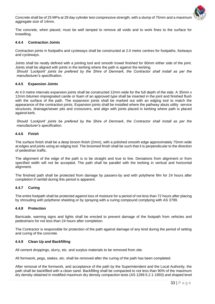

Concrete shall be of 25 MPa at 28 day cylinder test compressive strength, with a slump of 75mm and a maximum aggregate size of 14mm.

The concrete, when placed, must be well tamped to remove all voids and to work fines to the surface for trowelling.

#### <span id="page-32-0"></span>**4.4.4 Contraction Joints**

Contraction joints in footpaths and cycleways shall be constructed at 2.0 metre centres for footpaths, footways and cycleways.

Joints shall be neatly defined with a jointing tool and smooth trowel finished for 80mm either side of the joint. Joints shall be aligned with joints in the kerbing where the path is against the kerbing.

*Should 'Lockjoint' joints be prefered by the Shire of Denmark, the Contractor shall install as per the manufacturer's specification.*

#### <span id="page-32-1"></span>**4.4.5 Expansion Joints**

At 4.0 metre intervals expansion joints shall be constructed 12mm wide for the full depth of the slab. A 35mm x 12mm bitumen impregnated canite or foam of an approved type shall be inserted in the joint and finished flush with the surface of the path. The expansion joints shall be marked out with an edging tool to match the appearance of the contraction joints. Expansion joints shall be installed where the pathway abuts utility service structures, drainage/sewer pits and crossovers, and align with joints placed in kerbing where path is placed against kerb.

*Should 'Lockjoint' joints be prefered by the Shire of Denmark, the Contractor shall install as per the manufacturer's specification.*

#### <span id="page-32-2"></span>**4.4.6 Finish**

The surface finish shall be a deep broom finish (2mm), with a polished smooth edge approximately 75mm wide at edges and joints using an edging tool. The broomed finish shall be such that it is perpendicular to the direction of pedestrian traffic.

The alignment of the edge of the path is to be straight and true to line. Deviations from alignment or from specified width will not be accepted. The path shall be parallel with the kerbing in vertical and horizontal alignment.

The finished path shall be protected from damage by passers-by and with polythene film for 24 hours after completion if rainfall during this period is apparent.

#### <span id="page-32-3"></span>**4.4.7 Curing**

The entire footpath shall be protected against loss of moisture for a period of not less than 72 hours after placing by shrouding with polythene sheeting or by spraying with a curing compound complying with AS 3799.

#### <span id="page-32-4"></span>**4.4.8 Protection**

Barricade, warning signs and lights shall be erected to prevent damage of the footpath from vehicles and pedestrians for not less than 24 hours after completion.

The Contractor is responsible for protection of the path against damage of any kind during the period of setting and curing of the concrete.

#### <span id="page-32-5"></span>**4.4.9 Clean Up and Backfilling**

All cement droppings, slurry, etc. and surplus materials to be removed from site.

All formwork, pegs, stakes, etc. shall be removed after the curing of the path has been completed.

After removal of the formwork, and acceptance of the path by the Superintendent and the Local Authority, the path shall be backfilled with a clean sand. Backfilling shall be compacted to not less than 90% of the maximum dry density obtained in modified maximum dry density compaction tests (AS 1289.5.2.1-1993) and shaped level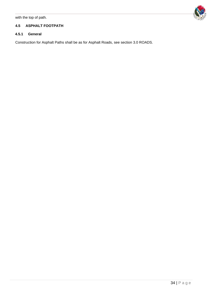with the top of path.

#### <span id="page-33-0"></span>**4.5 ASPHALT FOOTPATH**

### <span id="page-33-1"></span>**4.5.1 General**

Construction for Asphalt Paths shall be as for Asphalt Roads, see section 3.0 ROADS.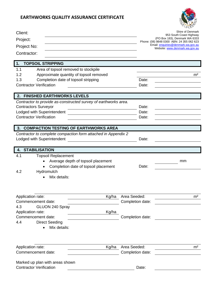

| Client:<br>Project:<br>Project No:<br>Contractor:                                                                                                                              | $Q_F D L$<br>Shire of Denmark<br>953 South Coast Highway<br>(PO Box 183), Denmark WA 6333<br>Phone: (08) 9848 0300 ABN: 24 355 062 623<br>Email: enquiries@denmark.wa.gov.au<br>Website: www.denmark.wa.gov.au |
|--------------------------------------------------------------------------------------------------------------------------------------------------------------------------------|----------------------------------------------------------------------------------------------------------------------------------------------------------------------------------------------------------------|
| <b>TOPSOIL STRIPPING</b>                                                                                                                                                       |                                                                                                                                                                                                                |
| Area of topsoil removed to stockpile<br>1.1<br>Approximate quantity of topsoil removed<br>1.2<br>1.3<br>Completion date of topsoil stripping<br><b>Contractor Verification</b> | m <sup>2</sup><br>Date:<br>Date:                                                                                                                                                                               |
| <b>FINISHED EARTHWORKS LEVELS</b><br>$\mathbf{2}$                                                                                                                              |                                                                                                                                                                                                                |
| Contractor to provide as-constructed survey of earthworks area.<br><b>Contractors Surveyor</b><br>Lodged with Superintendent<br><b>Contractor Verification</b>                 | Date:<br>Date:<br>Date:                                                                                                                                                                                        |
| <b>COMPACTION TESTING OF EARTHWORKS AREA</b><br>3.                                                                                                                             |                                                                                                                                                                                                                |
| Contractor to complete compaction form attached in Appendix 2<br>Lodged with Superintendent                                                                                    | Date:                                                                                                                                                                                                          |
| <b>STABILISATION</b><br>4.                                                                                                                                                     |                                                                                                                                                                                                                |
| 4.1<br><b>Topsoil Replacement</b><br>Average depth of topsoil placement<br>Completion date of topsoil placement<br>4.2<br>Hydromulch<br>Mix details:                           | mm<br>Date:                                                                                                                                                                                                    |
|                                                                                                                                                                                |                                                                                                                                                                                                                |
| Kg/ha<br>Application rate:                                                                                                                                                     | Area Seeded:<br>m <sup>2</sup>                                                                                                                                                                                 |
| Commencement date:<br>4.3<br>GLUON 240 Spray<br>Kg/ha<br>Application rate:<br>Commencement date:<br>4.4<br><b>Direct Seeding</b><br>Mix details:                               | Completion date:<br>Completion date:                                                                                                                                                                           |
| Kg/ha<br>Application rate:<br>Commencement date:                                                                                                                               | Area Seeded:<br>m <sup>2</sup><br>Completion date:                                                                                                                                                             |
| Marked up plan with areas shown<br><b>Contractor Verification</b>                                                                                                              | Date:                                                                                                                                                                                                          |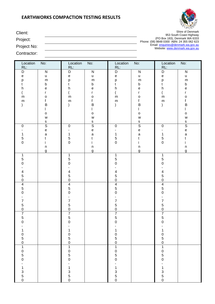

(PO Box 183), Denmark WA 6333

Phone: (08) 9848 0300 ABN: 24 355 062 623 Email: **enquiries@denmark.wa.gov.au** Website: <u>www.denmark.wa.gov.au</u>

Client: Shire of Denmark 953 South Coast Highway

Project:

Project No:

Contractor:

| Location<br>RL:                                                                          | No:                                                                                                                                                                        | Location<br>RL:                                                                                                   | No:                                                                                                                                                                                                                                            | Location<br>RL:                                                                                                            | No:                                                                                                                                                                   | Location<br>RL:                                                                                                                               | No:                                                                                                             |
|------------------------------------------------------------------------------------------|----------------------------------------------------------------------------------------------------------------------------------------------------------------------------|-------------------------------------------------------------------------------------------------------------------|------------------------------------------------------------------------------------------------------------------------------------------------------------------------------------------------------------------------------------------------|----------------------------------------------------------------------------------------------------------------------------|-----------------------------------------------------------------------------------------------------------------------------------------------------------------------|-----------------------------------------------------------------------------------------------------------------------------------------------|-----------------------------------------------------------------------------------------------------------------|
| D<br>$\mathsf{e}% _{t}\left( t\right)$<br>р<br>t<br>h<br>${\sf m}$<br>${\sf m}$          | ${\sf N}$<br>$\sf u$<br>${\sf m}$<br>$\sf b$<br>$\mathsf{e}% _{t}\left( t\right)$<br>$\mathsf{r}$<br>$\mathsf{o}$<br>f<br>$\mathsf B$<br>$\mathsf{o}$<br>W<br>$\mathbf{s}$ | D<br>$\mathsf{e}% _{t}\left( t\right)$<br>р<br>t<br>h<br>${\sf m}$<br>${\sf m}$                                   | ${\sf N}$<br>u<br>${\sf m}$<br>$\sf b$<br>$\mathsf{e}% _{t}\left( t\right)$<br>r<br>$\mathsf{o}$<br>f<br>$\sf B$<br>L<br>$\mathsf{o}$<br>$\mathsf{W}% _{T}=\mathsf{W}_{T}\!\left( a,b\right) ,\ \mathsf{W}_{T}=\mathsf{W}_{T}$<br>$\mathbf{s}$ | $\mathsf D$<br>$\mathsf{e}% _{t}\left( t\right)$<br>$\frac{p}{t}$<br>$\boldsymbol{\mathsf{h}}$<br>${\sf m}$<br>${\sf m}$   | ${\sf N}$<br>u<br>${\sf m}$<br>$\sf b$<br>$\mathsf{e}% _{t}\left( t\right)$<br>r<br>$\circ$<br>$\mathsf f$<br>$\sf B$<br>$\mathsf{o}$<br>${\mathsf W}$<br>$rac{s}{S}$ | $\mathsf D$<br>$\mathsf{e}% _{t}\left( t\right)$<br>p<br>$\mathsf{t}$<br>$\boldsymbol{\mathsf{h}}$<br>${\sf m}$<br>${\sf m}$<br>$\mathcal{E}$ | ${\sf N}$<br>u<br>${\sf m}$<br>b<br>е<br>r<br>$\mathsf{o}$<br>f<br>$\sf B$<br>$\mathsf{o}$<br>W<br>$\mathbf{s}$ |
| $\pmb{0}$<br>1<br>$\mathbf 5$<br>$\mathbf 0$                                             | $\overline{\mathsf{s}}$<br>$\mathsf{e}% _{t}\left( t\right)$<br>$\mathsf{a}$<br>t<br>İ.<br>$\sf n$<br>g                                                                    | $\pmb{0}$<br>1<br>$\overline{5}$<br>$\pmb{0}$                                                                     | $\overline{\mathsf{s}}$<br>$\mathsf{e}% _{t}\left( t\right)$<br>$\mathsf{a}$<br>t<br>i.<br>$\sf n$<br>g                                                                                                                                        | $\pmb{0}$<br>$\mathbf{1}$<br>$\begin{array}{c} 5 \\ 0 \end{array}$                                                         | $\mathsf{e}% _{t}\left( t\right)$<br>$\mathsf{a}$<br>t<br>İ.<br>$\sf n$<br>g                                                                                          | $\mathbf 0$<br>$\mathbf 1$<br>$\sqrt{5}$<br>$\mathbf 0$                                                                                       | $\overline{\mathsf{s}}$<br>$\mathsf{e}% _{t}\left( t\right)$<br>$\mathsf a$<br>t<br>$\sf n$<br>g                |
| $\mathbf{1}$<br>$\sqrt{5}$<br>$\mathbf 0$<br>$\overline{\mathbf{4}}$<br>5<br>$\mathbf 0$ |                                                                                                                                                                            | $\mathbf 1$<br>$\overline{5}$<br>$\mathbf 0$<br>$\overline{\mathcal{A}}$<br>$\begin{array}{c} 5 \\ 0 \end{array}$ |                                                                                                                                                                                                                                                | $\mathbf{1}$<br>$\begin{array}{c} 5 \\ 0 \end{array}$<br>$\overline{\mathcal{A}}$<br>$\begin{array}{c} 5 \\ 0 \end{array}$ |                                                                                                                                                                       | $\mathbf{1}$<br>$\sqrt{5}$<br>$\mathsf{O}\xspace$<br>$\overline{\mathcal{A}}$<br>$\begin{array}{c} 5 \\ 0 \end{array}$                        |                                                                                                                 |
| $\overline{4}$<br>$\overline{5}$<br>$\mathbf 0$<br>$\overline{7}$<br>5<br>$\mathsf 0$    |                                                                                                                                                                            | $\begin{array}{c} 4 \\ 5 \\ 0 \end{array}$<br>$\overline{7}$<br>$\overline{5}$<br>$\mathsf 0$                     |                                                                                                                                                                                                                                                | $\overline{4}$<br>$\begin{array}{c} 5 \\ 0 \end{array}$<br>$\overline{7}$<br>5<br>$\mathbf 0$                              |                                                                                                                                                                       | $\overline{4}$<br>5<br>$\mathbf 0$<br>$\overline{7}$<br>$\mathbf 5$<br>$\mathbf 0$                                                            |                                                                                                                 |
| $\overline{7}$<br>$\sqrt{5}$<br>$\mathbf 0$<br>$\mathbf 1$                               |                                                                                                                                                                            | $\overline{7}$<br>5<br>$\mathbf 0$<br>-<br>$\begin{array}{c} 1 \\ 0 \\ 5 \\ 0 \end{array}$                        |                                                                                                                                                                                                                                                | $\overline{7}$<br>$\begin{array}{c} 5 \\ 0 \end{array}$                                                                    |                                                                                                                                                                       | $\overline{7}$<br>5<br>$\Omega$                                                                                                               |                                                                                                                 |
| $050$<br>$1050$<br>$050$<br>$-1350$                                                      |                                                                                                                                                                            | $\begin{array}{c}\n1 \\ 0 \\ 5 \\ 0\n\end{array}$<br>$-1$<br>$3$<br>$5$<br>$0$                                    |                                                                                                                                                                                                                                                | $1050$<br>$1050$<br>$050$<br>$-1$<br>3<br>5<br>0                                                                           |                                                                                                                                                                       | $10501050 - 1350$                                                                                                                             |                                                                                                                 |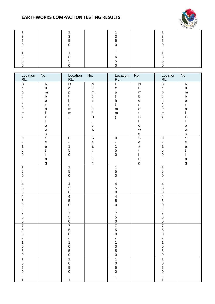

|  |  |  | ∽ |  |
|--|--|--|---|--|
|  |  |  |   |  |
|  |  |  |   |  |
|  |  |  |   |  |
|  |  |  | ~ |  |
|  |  |  |   |  |
|  |  |  |   |  |

| Location<br>RL:                            | No:                               | Location<br>RL:                            | No:                                                                                   | Location<br>RL:                            | No:                                        | Location<br>RL:                            | No:                                        |
|--------------------------------------------|-----------------------------------|--------------------------------------------|---------------------------------------------------------------------------------------|--------------------------------------------|--------------------------------------------|--------------------------------------------|--------------------------------------------|
| D                                          | ${\sf N}$                         | D                                          | ${\sf N}$                                                                             | $\mathsf D$                                | ${\sf N}$                                  | D                                          | ${\sf N}$                                  |
| $\mathsf{e}% _{t}\left( t\right)$          | u                                 | $\mathsf{e}% _{t}\left( t\right)$          | u                                                                                     | $\mathsf{e}% _{t}\left( t\right)$          | u                                          | $\mathsf{e}% _{t}\left( t\right)$          | $\sf u$                                    |
| p                                          | ${\sf m}$                         | р                                          | ${\sf m}$                                                                             | p<br>t                                     | ${\sf m}$                                  | p                                          | ${\sf m}$                                  |
| t                                          | $\sf b$                           | t                                          | $\sf b$                                                                               |                                            | $\sf b$                                    | t                                          | $\sf b$                                    |
| h                                          | $\mathsf e$                       | $\sf h$                                    | $\mathsf{e}% _{t}\left( t\right)$                                                     | h                                          | $\mathsf{e}% _{t}\left( t\right)$          | h                                          | $\mathsf{e}% _{t}\left( t\right)$          |
|                                            | r                                 |                                            | $\mathsf{r}$                                                                          | $\overline{\phantom{a}}$                   | $\mathsf{r}$                               | $\overline{(\ }$                           | r                                          |
| ${\sf m}$                                  | $\mathsf{o}$                      | ${\sf m}$                                  | $\mathsf{o}$                                                                          | ${\sf m}$                                  | $\circ$                                    | ${\sf m}$                                  | $\mathsf{o}$                               |
| ${\sf m}$                                  | $\mathsf f$                       | ${\sf m}$                                  | $\mathbf f$                                                                           | ${\sf m}$                                  | $\mathsf f$                                | ${\sf m}$                                  | f                                          |
|                                            | $\sf B$                           |                                            | $\sf B$<br>L                                                                          |                                            | $\sf B$                                    | $\mathcal{E}$                              | $\sf B$                                    |
|                                            | $\mathsf{o}$                      |                                            | $\mathsf{o}$                                                                          |                                            | $\mathsf{o}$                               |                                            | $\mathsf{o}$                               |
|                                            | W                                 |                                            | $\mathsf{W}% _{T}=\mathsf{W}_{T}\!\left( a,b\right) ,\ \mathsf{W}_{T}=\mathsf{W}_{T}$ |                                            | W                                          |                                            | ${\mathsf W}$                              |
|                                            | $\mathsf S$                       |                                            |                                                                                       |                                            |                                            |                                            |                                            |
| $\pmb{0}$                                  | $\overline{s}$                    | $\pmb{0}$                                  | $rac{s}{s}$                                                                           | $\pmb{0}$                                  | $rac{s}{s}$                                | $\pmb{0}$                                  | $rac{s}{S}$                                |
|                                            | $\mathsf{e}% _{t}\left( t\right)$ |                                            | $\mathsf{e}% _{t}\left( t\right)$                                                     |                                            | $\mathsf{e}% _{0}\left( \mathsf{e}\right)$ | $\overline{\phantom{a}}$                   | $\mathsf{e}% _{0}\left( \mathsf{e}\right)$ |
| $\mathbf{1}$                               | $\mathsf a$                       | $\mathbf{1}$                               | $\mathsf{a}$                                                                          | $\mathbf 1$                                | $\mathsf{a}$                               | $\mathbf{1}$                               | $\mathsf a$                                |
| $\mathbf 5$                                | $\mathsf t$                       | $\begin{array}{c} 5 \\ 0 \end{array}$      | t                                                                                     | $\frac{5}{0}$                              | $\mathfrak{t}$                             | $\mathbf 5$                                | $\mathfrak t$                              |
| $\mathbf 0$                                | İ.                                |                                            | İ.                                                                                    |                                            | i.                                         | $\mathbf 0$                                | i                                          |
|                                            | $\sf n$<br>g                      |                                            | $\sf n$<br>g                                                                          |                                            | $\sf n$<br>g                               |                                            | $\sf n$<br>g                               |
| $\mathbf{1}$                               |                                   | $\mathbf 1$                                |                                                                                       | $\mathbf{1}$                               |                                            | $\mathbf 1$                                |                                            |
| $\sqrt{5}$                                 |                                   | 5                                          |                                                                                       | $\begin{array}{c} 5 \\ 0 \end{array}$      |                                            | 5                                          |                                            |
| $\mathbf 0$                                |                                   | $\mathbf 0$                                |                                                                                       |                                            |                                            | $\mathbf 0$                                |                                            |
| $\overline{\mathbf{4}}$                    |                                   |                                            |                                                                                       |                                            |                                            | $\overline{\mathbf{4}}$                    |                                            |
|                                            |                                   | $\begin{array}{c} 4 \\ 5 \\ 0 \end{array}$ |                                                                                       | $\begin{array}{c} 4 \\ 5 \\ 0 \end{array}$ |                                            |                                            |                                            |
| $\begin{array}{c} 5 \\ 0 \end{array}$      |                                   |                                            |                                                                                       |                                            |                                            | $\begin{matrix}5\\0\end{matrix}$           |                                            |
| $\overline{4}$                             |                                   | $\frac{4}{5}$                              |                                                                                       | $\begin{array}{c} 4 \\ 5 \\ 0 \end{array}$ |                                            | $\frac{4}{5}$                              |                                            |
| $\overline{5}$<br>$\mathbf 0$              |                                   |                                            |                                                                                       |                                            |                                            | $\mathsf{O}\xspace$                        |                                            |
|                                            |                                   | L.                                         |                                                                                       | $\overline{a}$                             |                                            | $\overline{a}$                             |                                            |
| $\overline{7}$                             |                                   | $\overline{\mathbf{7}}$                    |                                                                                       | $\overline{7}$                             |                                            | $\overline{\mathbf{7}}$                    |                                            |
| $\mathbf 5$                                |                                   | 5                                          |                                                                                       | 5                                          |                                            | 5                                          |                                            |
| $\pmb{0}$                                  |                                   | $\mathsf 0$                                |                                                                                       | $\mathbf 0$                                |                                            | $\mathsf{O}\xspace$                        |                                            |
| $\overline{7}$                             |                                   | $\overline{7}$                             |                                                                                       | $\overline{7}$                             |                                            | $\overline{7}$                             |                                            |
| 5<br>$\Omega$                              |                                   | $\frac{5}{0}$                              |                                                                                       | $\frac{5}{0}$                              |                                            | 5<br>$\Omega$                              |                                            |
|                                            |                                   |                                            |                                                                                       |                                            |                                            |                                            |                                            |
| 1                                          |                                   | 1                                          |                                                                                       | 1                                          |                                            | 1                                          |                                            |
|                                            |                                   |                                            |                                                                                       |                                            |                                            |                                            |                                            |
| $\begin{array}{c} 0 \\ 5 \\ 0 \end{array}$ |                                   | $\begin{array}{c} 0 \\ 5 \\ 0 \end{array}$ |                                                                                       | $\begin{array}{c} 0 \\ 5 \\ 0 \end{array}$ |                                            | $\begin{array}{c} 0 \\ 5 \\ 0 \end{array}$ |                                            |
|                                            |                                   |                                            |                                                                                       |                                            |                                            |                                            |                                            |
| $\overline{1}$                             |                                   | $\overline{1}$                             |                                                                                       | $\overline{1}$                             |                                            | $\overline{\mathbf{1}}$                    |                                            |
| $\begin{array}{c} 0 \\ 5 \\ 0 \end{array}$ |                                   | $\begin{array}{c} 0 \\ 5 \\ 0 \end{array}$ |                                                                                       | $\begin{array}{c} 0 \\ 5 \\ 0 \end{array}$ |                                            | $\begin{array}{c} 0 \\ 5 \\ 0 \end{array}$ |                                            |
|                                            |                                   |                                            |                                                                                       |                                            |                                            |                                            |                                            |
|                                            |                                   |                                            |                                                                                       |                                            |                                            |                                            |                                            |
| $\mathbf 1$                                |                                   | 1                                          |                                                                                       | 1                                          |                                            | 1                                          |                                            |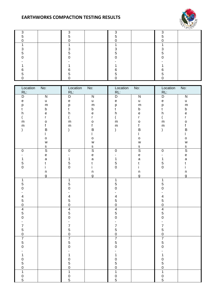

| ◠ |  |  |  |  |
|---|--|--|--|--|
|   |  |  |  |  |
|   |  |  |  |  |
|   |  |  |  |  |
|   |  |  |  |  |
|   |  |  |  |  |
|   |  |  |  |  |
|   |  |  |  |  |
|   |  |  |  |  |
|   |  |  |  |  |
|   |  |  |  |  |
|   |  |  |  |  |

| Location                                   | No:                               | Location                                     | No:                                                                                   | Location                                   | No:                                        | Location                                                                                                                                                                                                                                                                                                                                                                                                                                                                                                       | No:                                        |
|--------------------------------------------|-----------------------------------|----------------------------------------------|---------------------------------------------------------------------------------------|--------------------------------------------|--------------------------------------------|----------------------------------------------------------------------------------------------------------------------------------------------------------------------------------------------------------------------------------------------------------------------------------------------------------------------------------------------------------------------------------------------------------------------------------------------------------------------------------------------------------------|--------------------------------------------|
| RL:                                        |                                   | RL:                                          |                                                                                       | RL:                                        |                                            | RL:                                                                                                                                                                                                                                                                                                                                                                                                                                                                                                            |                                            |
| D                                          | ${\sf N}$                         | D                                            | ${\sf N}$                                                                             | $\mathsf D$                                | ${\sf N}$                                  | D                                                                                                                                                                                                                                                                                                                                                                                                                                                                                                              | ${\sf N}$                                  |
| $\mathsf{e}% _{t}\left( t\right)$          | $\sf u$                           | $\mathsf{e}% _{t}\left( t\right)$            | u                                                                                     | $\mathsf{e}% _{t}\left( t\right)$          | u                                          | $\mathsf{e}% _{t}\!\left( \mathcal{A}_{t}\right) \equiv\mathsf{e}_{t}\!\left( \mathcal{A}_{t}\right) \equiv\mathsf{e}_{t}\!\left( \mathcal{A}_{t}\right) \equiv\mathsf{e}_{t}\!\left( \mathcal{A}_{t}\right) \equiv\mathsf{e}_{t}\!\left( \mathcal{A}_{t}\right) \equiv\mathsf{e}_{t}\!\left( \mathcal{A}_{t}\right) \equiv\mathsf{e}_{t}\!\left( \mathcal{A}_{t}\right) \equiv\mathsf{e}_{t}\!\left( \mathcal{A}_{t}\right) \equiv\mathsf{e}_{t}\!\left( \mathcal{A}_{t}\right) \equiv\mathsf{e}_{t}\!\left($ | $\sf u$                                    |
| p                                          | ${\sf m}$                         | p                                            | ${\sf m}$                                                                             | р<br>t                                     | ${\sf m}$                                  | p                                                                                                                                                                                                                                                                                                                                                                                                                                                                                                              | ${\sf m}$                                  |
| t                                          | $\sf b$                           | t                                            | $\sf b$                                                                               |                                            | $\sf b$                                    | t                                                                                                                                                                                                                                                                                                                                                                                                                                                                                                              | $\sf b$                                    |
| h                                          | $\mathsf e$                       | h                                            | $\mathsf{e}% _{t}\left( t\right)$                                                     | $\boldsymbol{\mathsf{h}}$                  | $\mathsf{e}% _{0}\left( \mathsf{e}\right)$ | h                                                                                                                                                                                                                                                                                                                                                                                                                                                                                                              | $\mathsf{e}% _{t}\left( t\right)$          |
|                                            | r                                 |                                              | r                                                                                     | (                                          | $\mathsf{r}$                               | $\overline{(\ }$                                                                                                                                                                                                                                                                                                                                                                                                                                                                                               | r                                          |
| ${\sf m}$                                  | $\mathsf{o}$                      | ${\sf m}$                                    | $\mathsf{o}$                                                                          | ${\sf m}$                                  | $\circ$                                    | ${\sf m}$                                                                                                                                                                                                                                                                                                                                                                                                                                                                                                      | $\mathsf{o}$                               |
| ${\sf m}$                                  | $\mathsf f$                       | ${\sf m}$                                    | f                                                                                     | ${\sf m}$                                  | $\mathsf f$                                | ${\sf m}$                                                                                                                                                                                                                                                                                                                                                                                                                                                                                                      | f                                          |
|                                            | $\sf B$                           |                                              | $\mathsf B$                                                                           |                                            | $\sf B$                                    | $\mathcal{E}$                                                                                                                                                                                                                                                                                                                                                                                                                                                                                                  | $\sf B$                                    |
|                                            |                                   |                                              | $\mathbf{I}$                                                                          |                                            |                                            |                                                                                                                                                                                                                                                                                                                                                                                                                                                                                                                | L                                          |
|                                            | $\mathsf{o}$                      |                                              | $\mathsf{o}$                                                                          |                                            | $\mathsf{o}$                               |                                                                                                                                                                                                                                                                                                                                                                                                                                                                                                                | $\mathsf{o}$                               |
|                                            | W                                 |                                              | $\mathsf{W}% _{T}=\mathsf{W}_{T}\!\left( a,b\right) ,\ \mathsf{W}_{T}=\mathsf{W}_{T}$ |                                            | W                                          |                                                                                                                                                                                                                                                                                                                                                                                                                                                                                                                | ${\mathsf W}$                              |
|                                            | $\mathsf S$                       |                                              | $rac{s}{s}$                                                                           |                                            | $rac{s}{s}$                                |                                                                                                                                                                                                                                                                                                                                                                                                                                                                                                                | $rac{s}{S}$                                |
| $\pmb{0}$                                  | $\overline{s}$                    | $\pmb{0}$                                    |                                                                                       | $\pmb{0}$                                  |                                            | $\pmb{0}$                                                                                                                                                                                                                                                                                                                                                                                                                                                                                                      |                                            |
|                                            | $\mathsf{e}% _{t}\left( t\right)$ |                                              | $\mathsf{e}% _{t}\left( t\right)$                                                     |                                            | $\mathsf{e}% _{t}\left( t\right)$          | $\overline{\phantom{a}}$                                                                                                                                                                                                                                                                                                                                                                                                                                                                                       | $\mathsf{e}% _{0}\left( \mathsf{e}\right)$ |
| $\mathbf{1}$                               | $\mathsf{a}$                      | $\mathbf{1}$                                 | $\mathsf{a}$                                                                          | $\mathbf{1}$                               | $\mathsf{a}$                               | $\mathbf{1}$                                                                                                                                                                                                                                                                                                                                                                                                                                                                                                   | $\mathsf a$                                |
| $\mathbf 5$                                | t                                 | $\begin{array}{c} 5 \\ 0 \end{array}$        | t                                                                                     | $\begin{array}{c} 5 \\ 0 \end{array}$      | $\mathfrak t$                              | $\mathbf 5$                                                                                                                                                                                                                                                                                                                                                                                                                                                                                                    | t                                          |
| $\mathbf 0$                                | i                                 |                                              | i.                                                                                    |                                            | i.                                         | $\mathsf{O}\xspace$                                                                                                                                                                                                                                                                                                                                                                                                                                                                                            | i                                          |
|                                            | $\sf n$                           |                                              | $\sf n$                                                                               |                                            | $\sf n$                                    |                                                                                                                                                                                                                                                                                                                                                                                                                                                                                                                | $\sf n$                                    |
|                                            | g                                 |                                              | g                                                                                     |                                            | g                                          |                                                                                                                                                                                                                                                                                                                                                                                                                                                                                                                | g                                          |
| $\mathbf{1}$                               |                                   | 1                                            |                                                                                       | $\mathbf{1}$                               |                                            | $\mathbf 1$                                                                                                                                                                                                                                                                                                                                                                                                                                                                                                    |                                            |
| $\sqrt{5}$<br>$\mathbf 0$                  |                                   | 5<br>$\mathbf 0$                             |                                                                                       | $\begin{array}{c} 5 \\ 0 \end{array}$      |                                            | 5<br>$\mathbf 0$                                                                                                                                                                                                                                                                                                                                                                                                                                                                                               |                                            |
|                                            |                                   |                                              |                                                                                       |                                            |                                            |                                                                                                                                                                                                                                                                                                                                                                                                                                                                                                                |                                            |
| $\overline{\mathbf{4}}$                    |                                   |                                              |                                                                                       |                                            |                                            | $\blacksquare$<br>$\overline{\mathbf{4}}$                                                                                                                                                                                                                                                                                                                                                                                                                                                                      |                                            |
| $\sqrt{5}$                                 |                                   |                                              |                                                                                       |                                            |                                            | 5                                                                                                                                                                                                                                                                                                                                                                                                                                                                                                              |                                            |
| $\mathbf 0$                                |                                   | $\begin{array}{c} 4 \\ 5 \\ 0 \end{array}$   |                                                                                       | $\begin{array}{c} 4 \\ 5 \\ 0 \end{array}$ |                                            | $\mathsf 0$                                                                                                                                                                                                                                                                                                                                                                                                                                                                                                    |                                            |
| $\overline{\mathbf{4}}$                    |                                   |                                              |                                                                                       |                                            |                                            |                                                                                                                                                                                                                                                                                                                                                                                                                                                                                                                |                                            |
| $\overline{5}$                             |                                   | $\begin{array}{c}\n4 \\ 5 \\ 0\n\end{array}$ |                                                                                       | $\begin{array}{c} 4 \\ 5 \\ 0 \end{array}$ |                                            | $\begin{array}{c} 4 \\ 5 \\ 0 \end{array}$                                                                                                                                                                                                                                                                                                                                                                                                                                                                     |                                            |
| $\mathbf 0$                                |                                   |                                              |                                                                                       |                                            |                                            |                                                                                                                                                                                                                                                                                                                                                                                                                                                                                                                |                                            |
|                                            |                                   | L.                                           |                                                                                       | $\overline{\phantom{0}}$                   |                                            | $\overline{a}$                                                                                                                                                                                                                                                                                                                                                                                                                                                                                                 |                                            |
| $\overline{7}$                             |                                   | $\overline{7}$                               |                                                                                       | $\overline{7}$                             |                                            | $\overline{\mathbf{7}}$                                                                                                                                                                                                                                                                                                                                                                                                                                                                                        |                                            |
| $\mathbf 5$                                |                                   | 5                                            |                                                                                       | 5                                          |                                            | 5                                                                                                                                                                                                                                                                                                                                                                                                                                                                                                              |                                            |
| $\mathsf 0$                                |                                   | $\pmb{0}$                                    |                                                                                       | $\pmb{0}$                                  |                                            | $\mathsf{O}\xspace$                                                                                                                                                                                                                                                                                                                                                                                                                                                                                            |                                            |
| $\overline{7}$                             |                                   |                                              |                                                                                       |                                            |                                            | $\overline{7}$                                                                                                                                                                                                                                                                                                                                                                                                                                                                                                 |                                            |
| 5                                          |                                   | $\begin{array}{c}\n7 \\ 5 \\ 0\n\end{array}$ |                                                                                       | $\begin{array}{c} 7 \\ 5 \\ 0 \end{array}$ |                                            | $\frac{5}{0}$                                                                                                                                                                                                                                                                                                                                                                                                                                                                                                  |                                            |
| $\Omega$                                   |                                   |                                              |                                                                                       |                                            |                                            |                                                                                                                                                                                                                                                                                                                                                                                                                                                                                                                |                                            |
|                                            |                                   |                                              |                                                                                       |                                            |                                            |                                                                                                                                                                                                                                                                                                                                                                                                                                                                                                                |                                            |
| 1                                          |                                   | 1                                            |                                                                                       | 1                                          |                                            | 1                                                                                                                                                                                                                                                                                                                                                                                                                                                                                                              |                                            |
|                                            |                                   |                                              |                                                                                       |                                            |                                            |                                                                                                                                                                                                                                                                                                                                                                                                                                                                                                                |                                            |
| $\begin{array}{c} 0 \\ 5 \\ 0 \end{array}$ |                                   | $\begin{array}{c} 0 \\ 5 \\ 0 \end{array}$   |                                                                                       |                                            |                                            | $\begin{array}{c} 0 \\ 5 \\ 0 \end{array}$                                                                                                                                                                                                                                                                                                                                                                                                                                                                     |                                            |
|                                            |                                   |                                              |                                                                                       | $\frac{0}{5}$<br>$\frac{0}{1}$             |                                            |                                                                                                                                                                                                                                                                                                                                                                                                                                                                                                                |                                            |
| $\overline{1}$                             |                                   | $\overline{1}$                               |                                                                                       |                                            |                                            | $\overline{1}$                                                                                                                                                                                                                                                                                                                                                                                                                                                                                                 |                                            |
| $\begin{array}{c} 0 \\ 5 \end{array}$      |                                   | $\begin{array}{c} 0 \\ 5 \end{array}$        |                                                                                       | $\begin{array}{c} 0 \\ 5 \end{array}$      |                                            | $\begin{array}{c} 0 \\ 5 \end{array}$                                                                                                                                                                                                                                                                                                                                                                                                                                                                          |                                            |
|                                            |                                   |                                              |                                                                                       |                                            |                                            |                                                                                                                                                                                                                                                                                                                                                                                                                                                                                                                |                                            |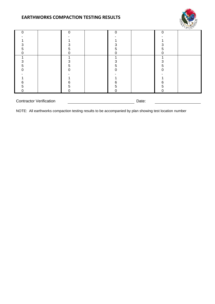

| ი                                       |  | O |  | 0 | ი  |  |
|-----------------------------------------|--|---|--|---|----|--|
|                                         |  |   |  |   |    |  |
|                                         |  |   |  |   |    |  |
| ◠                                       |  |   |  | 3 | 3  |  |
| :C                                      |  | h |  | 5 | h. |  |
|                                         |  |   |  | 0 | 0  |  |
|                                         |  |   |  |   |    |  |
| 3                                       |  | 3 |  | 3 | 3  |  |
| 5                                       |  | 5 |  | 5 | 5  |  |
|                                         |  |   |  | 0 | ი  |  |
|                                         |  |   |  |   |    |  |
|                                         |  |   |  |   |    |  |
| 6                                       |  | 6 |  | 6 | 6  |  |
| 5                                       |  | 5 |  | 5 | 5  |  |
| 0                                       |  |   |  | 0 | 0  |  |
|                                         |  |   |  |   |    |  |
| <b>Contractor Verification</b><br>Date: |  |   |  |   |    |  |

NOTE: All earthworks compaction testing results to be accompanied by plan showing test location number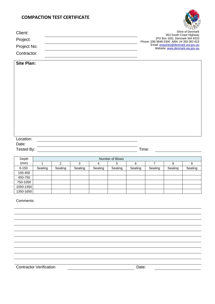### **COMPACTION TEST CERTIFICATE**



| Client:<br>Project:<br>Project No:<br>Contractor: |                                |            |                           |                |                 |         | (PO Box 183), Denmark WA 6333<br>Phone: (08) 9848 0300 ABN: 24 355 062 623 | 953 South Coast Highway<br>Email: enquiries@denmark.wa.gov.au<br>Website: www.denmark.wa.gov.au | $O^pD_{\ell,p}$<br>Shire of Denmark |
|---------------------------------------------------|--------------------------------|------------|---------------------------|----------------|-----------------|---------|----------------------------------------------------------------------------|-------------------------------------------------------------------------------------------------|-------------------------------------|
| <b>Site Plan:</b>                                 |                                |            |                           |                |                 |         |                                                                            |                                                                                                 |                                     |
|                                                   |                                |            |                           |                |                 |         |                                                                            |                                                                                                 |                                     |
|                                                   |                                |            |                           |                |                 |         |                                                                            |                                                                                                 |                                     |
|                                                   |                                |            |                           |                |                 |         |                                                                            |                                                                                                 |                                     |
|                                                   |                                |            |                           |                |                 |         |                                                                            |                                                                                                 |                                     |
|                                                   |                                |            |                           |                |                 |         |                                                                            |                                                                                                 |                                     |
|                                                   |                                |            |                           |                |                 |         |                                                                            |                                                                                                 |                                     |
|                                                   |                                |            |                           |                |                 |         |                                                                            |                                                                                                 |                                     |
|                                                   |                                |            |                           |                |                 |         |                                                                            |                                                                                                 |                                     |
|                                                   |                                |            |                           |                |                 |         |                                                                            |                                                                                                 |                                     |
|                                                   |                                |            |                           |                |                 |         |                                                                            |                                                                                                 |                                     |
|                                                   |                                |            |                           |                |                 |         |                                                                            |                                                                                                 |                                     |
|                                                   |                                |            |                           |                |                 |         |                                                                            |                                                                                                 |                                     |
|                                                   |                                |            |                           |                |                 |         |                                                                            |                                                                                                 |                                     |
|                                                   |                                |            |                           |                |                 |         |                                                                            |                                                                                                 |                                     |
|                                                   |                                |            |                           |                |                 |         |                                                                            |                                                                                                 |                                     |
| Location:                                         |                                |            |                           |                |                 |         |                                                                            |                                                                                                 |                                     |
| Date:                                             |                                |            |                           |                |                 |         |                                                                            |                                                                                                 |                                     |
| Tested By:                                        |                                |            |                           |                |                 |         | Time:                                                                      |                                                                                                 |                                     |
|                                                   |                                |            |                           |                |                 |         |                                                                            |                                                                                                 |                                     |
| Depth                                             |                                |            |                           |                | Number of Blows |         |                                                                            |                                                                                                 |                                     |
| (mm)                                              | $\mathbf{1}$                   | $\sqrt{2}$ | $\ensuremath{\mathsf{3}}$ | $\overline{4}$ | $\sqrt{5}$      | $\,6$   | $\boldsymbol{7}$                                                           | $\bf 8$                                                                                         | $\boldsymbol{9}$                    |
| $0 - 150$                                         | Seating                        | Seating    | Seating                   | Seating        | Seating         | Seating | Seating                                                                    | Seating                                                                                         | Seating                             |
| 150-450                                           |                                |            |                           |                |                 |         |                                                                            |                                                                                                 |                                     |
| 450-750                                           |                                |            |                           |                |                 |         |                                                                            |                                                                                                 |                                     |
| 750-1050<br>1050-1350                             |                                |            |                           |                |                 |         |                                                                            |                                                                                                 |                                     |
| 1350-1650                                         |                                |            |                           |                |                 |         |                                                                            |                                                                                                 |                                     |
|                                                   |                                |            |                           |                |                 |         |                                                                            |                                                                                                 |                                     |
| Comments:                                         |                                |            |                           |                |                 |         |                                                                            |                                                                                                 |                                     |
|                                                   |                                |            |                           |                |                 |         |                                                                            |                                                                                                 |                                     |
|                                                   |                                |            |                           |                |                 |         |                                                                            |                                                                                                 |                                     |
|                                                   |                                |            |                           |                |                 |         |                                                                            |                                                                                                 |                                     |
|                                                   |                                |            |                           |                |                 |         |                                                                            |                                                                                                 |                                     |
|                                                   |                                |            |                           |                |                 |         |                                                                            |                                                                                                 |                                     |
|                                                   |                                |            |                           |                |                 |         |                                                                            |                                                                                                 |                                     |
|                                                   |                                |            |                           |                |                 |         |                                                                            |                                                                                                 |                                     |
|                                                   |                                |            |                           |                |                 |         |                                                                            |                                                                                                 |                                     |
|                                                   |                                |            |                           |                |                 |         |                                                                            |                                                                                                 |                                     |
|                                                   |                                |            |                           |                |                 |         |                                                                            |                                                                                                 |                                     |
|                                                   |                                |            |                           |                |                 |         |                                                                            |                                                                                                 |                                     |
|                                                   |                                |            |                           |                |                 |         |                                                                            |                                                                                                 |                                     |
|                                                   |                                |            |                           |                |                 |         |                                                                            |                                                                                                 |                                     |
|                                                   | <b>Contractor Verification</b> |            |                           |                |                 | Date:   |                                                                            |                                                                                                 |                                     |
|                                                   |                                |            |                           |                |                 |         |                                                                            |                                                                                                 |                                     |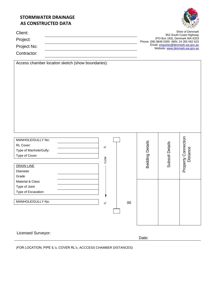### **STORMWATER DRAINAGE AS CONSTRUCTED DATA**



| Client:     | Shire of Denmark                                         |
|-------------|----------------------------------------------------------|
|             | 953 South Coast Highway<br>(PO Box 183), Denmark WA 6333 |
| Project:    | Phone: (08) 9848 0300 ABN: 24 355 062 623                |
| Project No: | Email: enquiries@denmark.wa.gov.au                       |
|             | Website: www.denmark.wa.gov.au                           |
| Contractor: |                                                          |

| Access chamber location sketch (show boundaries):                |                 |                 |                                 |
|------------------------------------------------------------------|-----------------|-----------------|---------------------------------|
|                                                                  |                 |                 |                                 |
|                                                                  |                 |                 |                                 |
|                                                                  |                 |                 |                                 |
|                                                                  |                 |                 |                                 |
|                                                                  |                 |                 |                                 |
|                                                                  |                 |                 |                                 |
|                                                                  |                 |                 |                                 |
|                                                                  |                 |                 |                                 |
|                                                                  |                 |                 |                                 |
|                                                                  |                 |                 |                                 |
|                                                                  |                 |                 |                                 |
|                                                                  |                 |                 |                                 |
| MANHOLE/GULLY No:                                                |                 |                 |                                 |
| RL Cover:<br>ᆗ                                                   |                 |                 |                                 |
| Type of Manhole/Gully:                                           |                 |                 |                                 |
| Type of Cover:                                                   | Bedding Details | Subsoil Details | Property Connection<br>Distance |
| FLOW                                                             |                 |                 |                                 |
| <b>DRAIN LINE</b>                                                |                 |                 |                                 |
| Diameter                                                         |                 |                 |                                 |
| Grade<br>Material & Class                                        |                 |                 |                                 |
| Type of Joint                                                    |                 |                 |                                 |
| Type of Excavation                                               |                 |                 |                                 |
|                                                                  |                 |                 |                                 |
| MANHOLE/GULLY No:<br>00<br>$\equiv$                              |                 |                 |                                 |
|                                                                  |                 |                 |                                 |
|                                                                  |                 |                 |                                 |
|                                                                  |                 |                 |                                 |
|                                                                  |                 |                 |                                 |
|                                                                  |                 |                 |                                 |
| Licensed Surveyor:                                               | Date:           |                 |                                 |
|                                                                  |                 |                 |                                 |
| (FOR LOCATION, PIPE IL's, COVER RL's, ACCCESS CHAMBER DISTANCES) |                 |                 |                                 |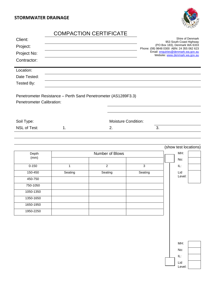**STORMWATER DRAINAGE**

1050-1350 1350-1650 1650-1950 1950-2250



## COMPACTION CERTIFICATE

| Client:<br>Project:              |         |                                                                |                            | Shire of Denmark<br>953 South Coast Highway<br>(PO Box 183), Denmark WA 6333<br>Phone: (08) 9848 0300 ABN: 24 355 062 623 |
|----------------------------------|---------|----------------------------------------------------------------|----------------------------|---------------------------------------------------------------------------------------------------------------------------|
| Project No:                      |         |                                                                |                            | Email: enquiries@denmark.wa.gov.au<br>Website: www.denmark.wa.gov.au                                                      |
| Contractor:                      |         |                                                                |                            |                                                                                                                           |
| Location:                        |         |                                                                |                            |                                                                                                                           |
| Date Tested:                     |         |                                                                |                            |                                                                                                                           |
| Tested By:                       |         |                                                                |                            |                                                                                                                           |
| <b>Penetrometer Calibration:</b> |         | Penetrometer Resistance - Perth Sand Penetrometer (AS1289F3.3) |                            |                                                                                                                           |
| Soil Type:                       |         |                                                                | <b>Moisture Condition:</b> |                                                                                                                           |
| <b>NSL of Test:</b>              | 1.      | 2.                                                             | 3.                         |                                                                                                                           |
|                                  |         |                                                                |                            |                                                                                                                           |
|                                  |         |                                                                |                            | (show test locations)                                                                                                     |
| Depth                            |         | Number of Blows                                                |                            | MH:                                                                                                                       |
| (mm)                             |         |                                                                |                            | No:                                                                                                                       |
| $0 - 150$                        | 1       | $\overline{2}$                                                 | 3                          | IL:                                                                                                                       |
| 150-450                          | Seating | Seating                                                        | Seating                    | Lid                                                                                                                       |
| 450-750                          |         |                                                                |                            | Level:                                                                                                                    |
| 750-1050                         |         |                                                                |                            |                                                                                                                           |

| MH:           |  |
|---------------|--|
| No:           |  |
| IL:           |  |
| Lid<br>Level: |  |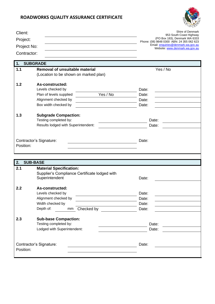

| Client:     | Shire of Denmark<br>953 South Coast Highway                                |
|-------------|----------------------------------------------------------------------------|
| Project:    | (PO Box 183), Denmark WA 6333<br>Phone: (08) 9848 0300 ABN: 24 355 062 623 |
| Project No: | Email: enquiries@denmark.wa.gov.au<br>Website: www.denmark.wa.gov.au       |
| Contractor: |                                                                            |

| 1.        | <b>SUBGRADE</b>                                      |            |          |  |
|-----------|------------------------------------------------------|------------|----------|--|
| 1.1       | <b>Removal of unsuitable material</b>                |            | Yes / No |  |
|           | (Location to be shown on marked plan)                |            |          |  |
|           |                                                      |            |          |  |
| 1.2       | As-constructed:                                      |            |          |  |
|           | Levels checked by                                    |            | Date:    |  |
|           | Plan of levels supplied                              | Yes / No   | Date:    |  |
|           | Alignment checked by                                 |            | Date:    |  |
|           | Box width checked by                                 |            | Date:    |  |
| 1.3       |                                                      |            |          |  |
|           | <b>Subgrade Compaction:</b><br>Testing completed by: |            | Date:    |  |
|           | Results lodged with Superintendent:                  |            | Date:    |  |
|           |                                                      |            |          |  |
|           |                                                      |            |          |  |
|           | Contractor's Signature:                              |            | Date:    |  |
| Position: |                                                      |            |          |  |
|           |                                                      |            |          |  |
|           |                                                      |            |          |  |
| 2.        | <b>SUB-BASE</b>                                      |            |          |  |
| 2.1       | <b>Material Specification:</b>                       |            |          |  |
|           | Supplier's Compliance Certificate lodged with        |            |          |  |
|           | Superintendent                                       |            | Date:    |  |
|           |                                                      |            |          |  |
| 2.2       | As-constructed:                                      |            |          |  |
|           | Levels checked by                                    |            | Date:    |  |
|           | Alignment checked by                                 |            | Date:    |  |
|           | Width checked by                                     |            | Date:    |  |
|           | Depth of:<br>mm                                      | Checked by | Date:    |  |
|           |                                                      |            |          |  |
| 2.3       | <b>Sub-base Compaction:</b>                          |            |          |  |
|           |                                                      |            |          |  |
|           | Testing completed by:                                |            | Date:    |  |
|           | Lodged with Superintendent:                          |            | Date:    |  |
|           |                                                      |            |          |  |
|           |                                                      |            |          |  |
| Position: | Contractor's Signature:                              |            | Date:    |  |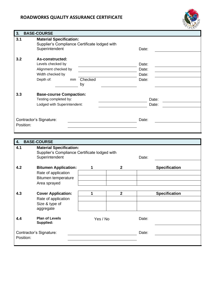

| 3.  | <b>BASE-COURSE</b>                                                                                                   |                                  |
|-----|----------------------------------------------------------------------------------------------------------------------|----------------------------------|
| 3.1 | <b>Material Specification:</b><br>Supplier's Compliance Certificate lodged with<br>Superintendent                    | Date:                            |
| 3.2 | As-constructed:<br>Levels checked by<br>Alignment checked by<br>Width checked by<br>Depth of:<br>Checked<br>mm<br>by | Date:<br>Date:<br>Date:<br>Date: |
| 3.3 | <b>Base-course Compaction:</b><br>Testing completed by:<br>Lodged with Superintendent:                               | Date:<br>Date:                   |
|     | Contractor's Signature:<br>Position:                                                                                 | Date:                            |

| 4.        | <b>BASE-COURSE</b>                                                                                |          |              |       |                      |
|-----------|---------------------------------------------------------------------------------------------------|----------|--------------|-------|----------------------|
| 4.1       | <b>Material Specification:</b><br>Supplier's Compliance Certificate lodged with<br>Superintendent |          |              | Date: |                      |
| 4.2       | <b>Bitumen Application:</b><br>Rate of application<br>Bitumen temperature<br>Area sprayed         | 1        | $\mathbf{2}$ |       | <b>Specification</b> |
| 4.3       | <b>Cover Application:</b><br>Rate of application<br>Size & type of<br>aggregate                   | 1        | $\mathbf{2}$ |       | <b>Specification</b> |
| 4.4       | <b>Plan of Levels</b><br>Supplied:                                                                | Yes / No |              | Date: |                      |
| Position: | Contractor's Signature:                                                                           |          |              | Date: |                      |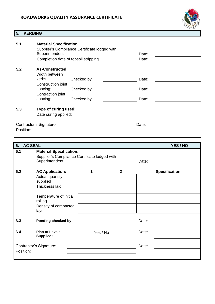

### **5. KERBING**

| 5.1       | <b>Material Specification</b><br>Superintendent<br>Completion date of topsoil stripping | Supplier's Compliance Certificate lodged with | Date:<br>Date: |  |
|-----------|-----------------------------------------------------------------------------------------|-----------------------------------------------|----------------|--|
| 5.2       | <b>As-Constructed:</b><br>Width between<br>kerbs:<br>Construction joint                 | Checked by:                                   | Date:          |  |
|           | spacing:<br>Contraction joint                                                           | Checked by:                                   | Date:          |  |
|           | spacing:                                                                                | Checked by:                                   | Date:          |  |
| 5.3       | Type of curing used:<br>Date curing applied:                                            |                                               |                |  |
| Position: | Contractor's Signature                                                                  |                                               | Date:          |  |

| 6.        | <b>AC SEAL</b><br>YES / NO         |                                                                                 |              |       |                      |  |
|-----------|------------------------------------|---------------------------------------------------------------------------------|--------------|-------|----------------------|--|
| 6.1       | Superintendent                     | <b>Material Specification:</b><br>Supplier's Compliance Certificate lodged with |              |       |                      |  |
| 6.2       | <b>AC Application:</b>             |                                                                                 | $\mathbf{2}$ |       | <b>Specification</b> |  |
|           | Actual quantity<br>supplied        |                                                                                 |              |       |                      |  |
|           | Thickness laid                     |                                                                                 |              |       |                      |  |
|           | Temperature of initial<br>rolling  |                                                                                 |              |       |                      |  |
|           | Density of compacted<br>layer      |                                                                                 |              |       |                      |  |
| 6.3       | Ponding checked by                 |                                                                                 |              | Date: |                      |  |
| 6.4       | <b>Plan of Levels</b><br>Supplied: | Yes / No                                                                        |              | Date: |                      |  |
| Position: | Contractor's Signature:            |                                                                                 |              | Date: |                      |  |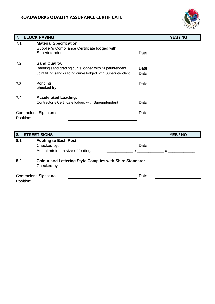

| 7.        | <b>BLOCK PAVING</b>                                         |       | YES / NO |
|-----------|-------------------------------------------------------------|-------|----------|
| 7.1       | <b>Material Specification:</b>                              |       |          |
|           | Supplier's Compliance Certificate lodged with               |       |          |
|           | Superintendent                                              | Date: |          |
| 7.2       | <b>Sand Quality:</b>                                        |       |          |
|           | Bedding sand grading curve lodged with Superintendent       | Date: |          |
|           | Joint filling sand grading curve lodged with Superintendent | Date: |          |
|           |                                                             |       |          |
| 7.3       | <b>Ponding</b><br>checked by:                               | Date: |          |
|           |                                                             |       |          |
| 7.4       | <b>Accelerated Loading:</b>                                 |       |          |
|           | Contractor's Certificate lodged with Superintendent         | Date: |          |
|           |                                                             |       |          |
|           | Contractor's Signature:                                     | Date: |          |
| Position: |                                                             |       |          |

| 8.        | <b>STREET SIGNS</b>                                                            | YES / NO |
|-----------|--------------------------------------------------------------------------------|----------|
| 8.1       | <b>Footing to Each Post:</b>                                                   |          |
|           | Checked by:                                                                    | Date:    |
|           | Actual minimum size of footings                                                | X        |
| 8.2       | <b>Colour and Lettering Style Complies with Shire Standard:</b><br>Checked by: |          |
| Position: | Contractor's Signature:                                                        | Date:    |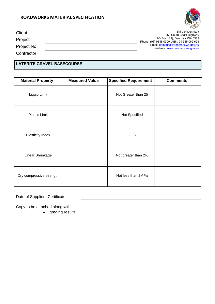

| Client:     | Shire of Denmark<br>953 South Coast Highway                                |
|-------------|----------------------------------------------------------------------------|
| Project:    | (PO Box 183), Denmark WA 6333<br>Phone: (08) 9848 0300 ABN: 24 355 062 623 |
| Project No: | Email: enquiries@denmark.wa.gov.au<br>Website: www.denmark.wa.gov.au       |
| Contractor: |                                                                            |

### **LATERITE GRAVEL BASECOURSE**

| <b>Material Property</b> | <b>Measured Value</b> | <b>Specified Requirement</b> | <b>Comments</b> |
|--------------------------|-----------------------|------------------------------|-----------------|
| Liquid Limit             |                       | Not Greater than 25          |                 |
| <b>Plastic Limit</b>     |                       | Not Specified                |                 |
| Plasticity Index         |                       | $2 - 6$                      |                 |
| Linear Shrinkage         |                       | Not greater than 2%          |                 |
| Dry compressive strength |                       | Not less than 2MPa           |                 |

Date of Suppliers Certificate:

Copy to be attached along with:

• grading results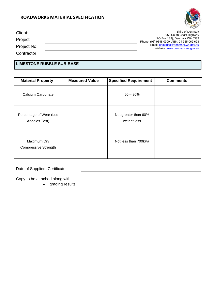

| Client:     | Shire of Denmark<br>953 South Coast Highway                                |
|-------------|----------------------------------------------------------------------------|
| Project:    | (PO Box 183), Denmark WA 6333<br>Phone: (08) 9848 0300 ABN: 24 355 062 623 |
| Project No: | Email: enquiries@denmark.wa.gov.au<br>Website: www.denmark.wa.gov.au       |
| Contractor: |                                                                            |

### **LIMESTONE RUBBLE SUB-BASE**

| <b>Material Property</b>                   | <b>Measured Value</b> | <b>Specified Requirement</b>        | <b>Comments</b> |
|--------------------------------------------|-----------------------|-------------------------------------|-----------------|
| Calcium Carbonate                          |                       | $60 - 80%$                          |                 |
| Percentage of Wear (Los<br>Angeles Test)   |                       | Not greater than 60%<br>weight loss |                 |
| Maximum Dry<br><b>Compressive Strength</b> |                       | Not less than 700kPa                |                 |

Date of Suppliers Certificate:

Copy to be attached along with:

• grading results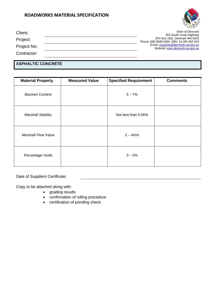

| Client:     | Shire of Denmark<br>953 South Coast Highway                                |
|-------------|----------------------------------------------------------------------------|
| Project:    | (PO Box 183), Denmark WA 6333<br>Phone: (08) 9848 0300 ABN: 24 355 062 623 |
| Project No: | Email: enquiries@denmark.wa.gov.au<br>Website: www.denmark.wa.gov.au       |
| Contractor: |                                                                            |

### **ASPHALTIC CONCRETE**

| <b>Material Property</b>   | <b>Measured Value</b> | <b>Specified Requirement</b> | <b>Comments</b> |
|----------------------------|-----------------------|------------------------------|-----------------|
| <b>Bitumen Content</b>     |                       | $5 - 7%$                     |                 |
| <b>Marshall Stability</b>  |                       | Not less than 5.5KN          |                 |
| <b>Marshall Flow Value</b> |                       | $2 - 4$ mm                   |                 |
| Percentage Voids           |                       | $3 - 5%$                     |                 |

Date of Suppliers Certificate:

Copy to be attached along with:

- grading results
- confirmation of rolling procedure
- certification of ponding check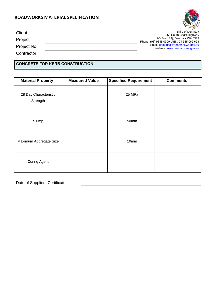

| Client:     | Shire of Denmark<br>953 South Coast Highway                                |
|-------------|----------------------------------------------------------------------------|
| Project:    | (PO Box 183), Denmark WA 6333<br>Phone: (08) 9848 0300 ABN: 24 355 062 623 |
| Project No: | Email: enquiries@denmark.wa.gov.au<br>Website: www.denmark.wa.gov.au       |
| Contractor: |                                                                            |

### **CONCRETE FOR KERB CONSTRUCTION**

| <b>Material Property</b>          | <b>Measured Value</b> | <b>Specified Requirement</b> | <b>Comments</b> |
|-----------------------------------|-----------------------|------------------------------|-----------------|
| 28 Day Characteristic<br>Strength |                       | 25 MPa                       |                 |
| Slump                             |                       | 50mm                         |                 |
| Maximum Aggregate Size            |                       | 10mm                         |                 |
| <b>Curing Agent</b>               |                       |                              |                 |

Date of Suppliers Certificate: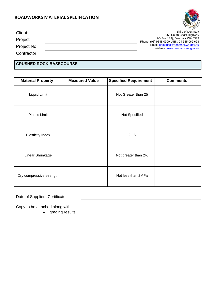

| Client:     | Shire of Denmark<br>953 South Coast Highway                                |
|-------------|----------------------------------------------------------------------------|
| Project:    | (PO Box 183), Denmark WA 6333<br>Phone: (08) 9848 0300 ABN: 24 355 062 623 |
| Project No: | Email: enquiries@denmark.wa.gov.au<br>Website: www.denmark.wa.gov.au       |
| Contractor: |                                                                            |

### **CRUSHED ROCK BASECOURSE**

| <b>Material Property</b> | <b>Measured Value</b> | <b>Specified Requirement</b> | <b>Comments</b> |
|--------------------------|-----------------------|------------------------------|-----------------|
| Liquid Limit             |                       | Not Greater than 25          |                 |
| <b>Plastic Limit</b>     |                       | Not Specified                |                 |
| Plasticity Index         |                       | $2 - 5$                      |                 |
| Linear Shrinkage         |                       | Not greater than 2%          |                 |
| Dry compressive strength |                       | Not less than 2MPa           |                 |

Date of Suppliers Certificate:

Copy to be attached along with:

• grading results